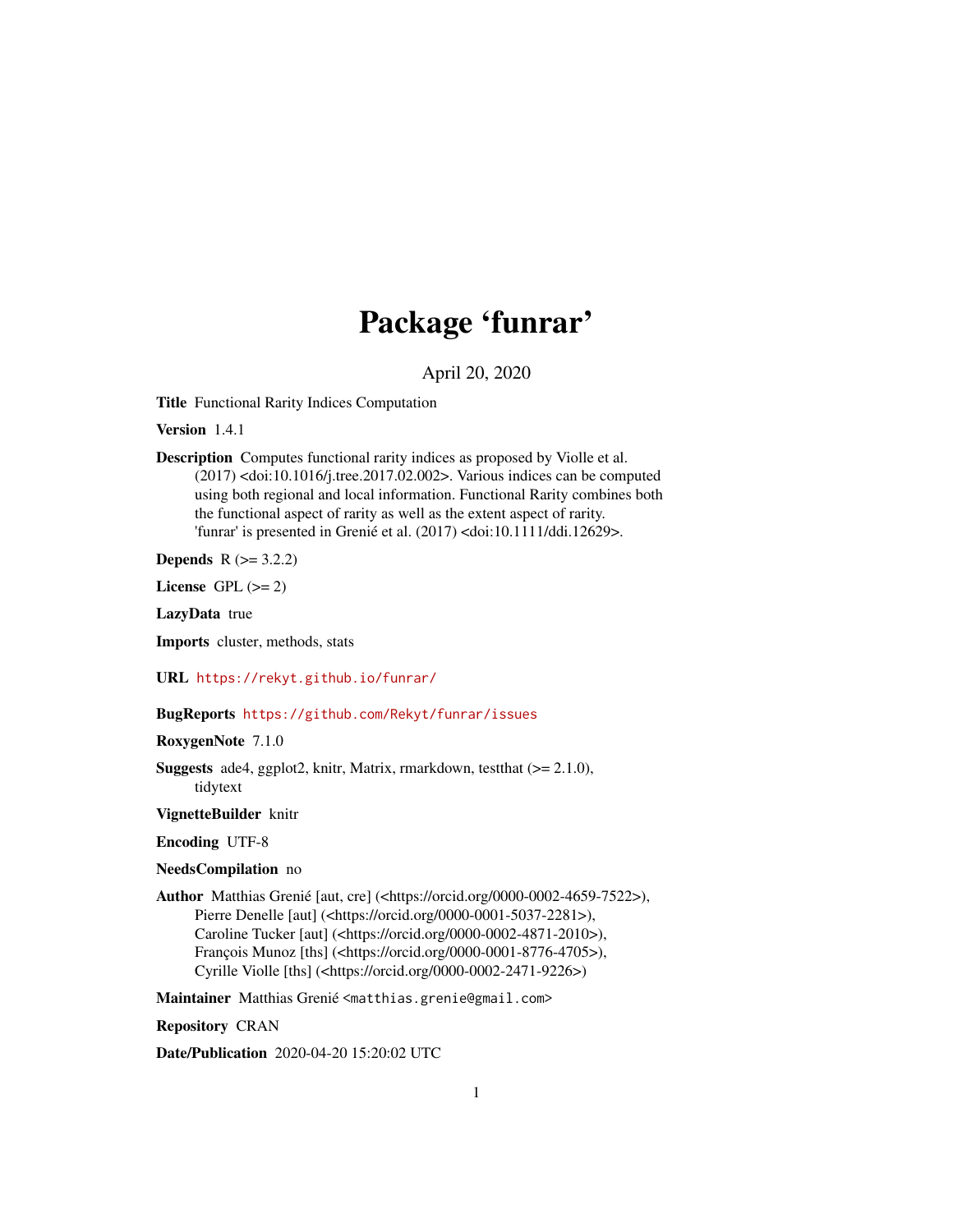# Package 'funrar'

April 20, 2020

<span id="page-0-0"></span>Title Functional Rarity Indices Computation

Version 1.4.1

Description Computes functional rarity indices as proposed by Violle et al. (2017) <doi:10.1016/j.tree.2017.02.002>. Various indices can be computed using both regional and local information. Functional Rarity combines both the functional aspect of rarity as well as the extent aspect of rarity. 'funrar' is presented in Grenié et al. (2017) <doi:10.1111/ddi.12629>.

**Depends** R  $(>= 3.2.2)$ 

License GPL  $(>= 2)$ 

LazyData true

Imports cluster, methods, stats

URL <https://rekyt.github.io/funrar/>

### BugReports <https://github.com/Rekyt/funrar/issues>

RoxygenNote 7.1.0

Suggests ade4, ggplot2, knitr, Matrix, rmarkdown, testthat (>= 2.1.0), tidytext

VignetteBuilder knitr

Encoding UTF-8

#### NeedsCompilation no

Author Matthias Grenié [aut, cre] (<https://orcid.org/0000-0002-4659-7522>), Pierre Denelle [aut] (<https://orcid.org/0000-0001-5037-2281>), Caroline Tucker [aut] (<https://orcid.org/0000-0002-4871-2010>), François Munoz [ths] (<https://orcid.org/0000-0001-8776-4705>), Cyrille Violle [ths] (<https://orcid.org/0000-0002-2471-9226>)

Maintainer Matthias Grenié <matthias.grenie@gmail.com>

Repository CRAN

Date/Publication 2020-04-20 15:20:02 UTC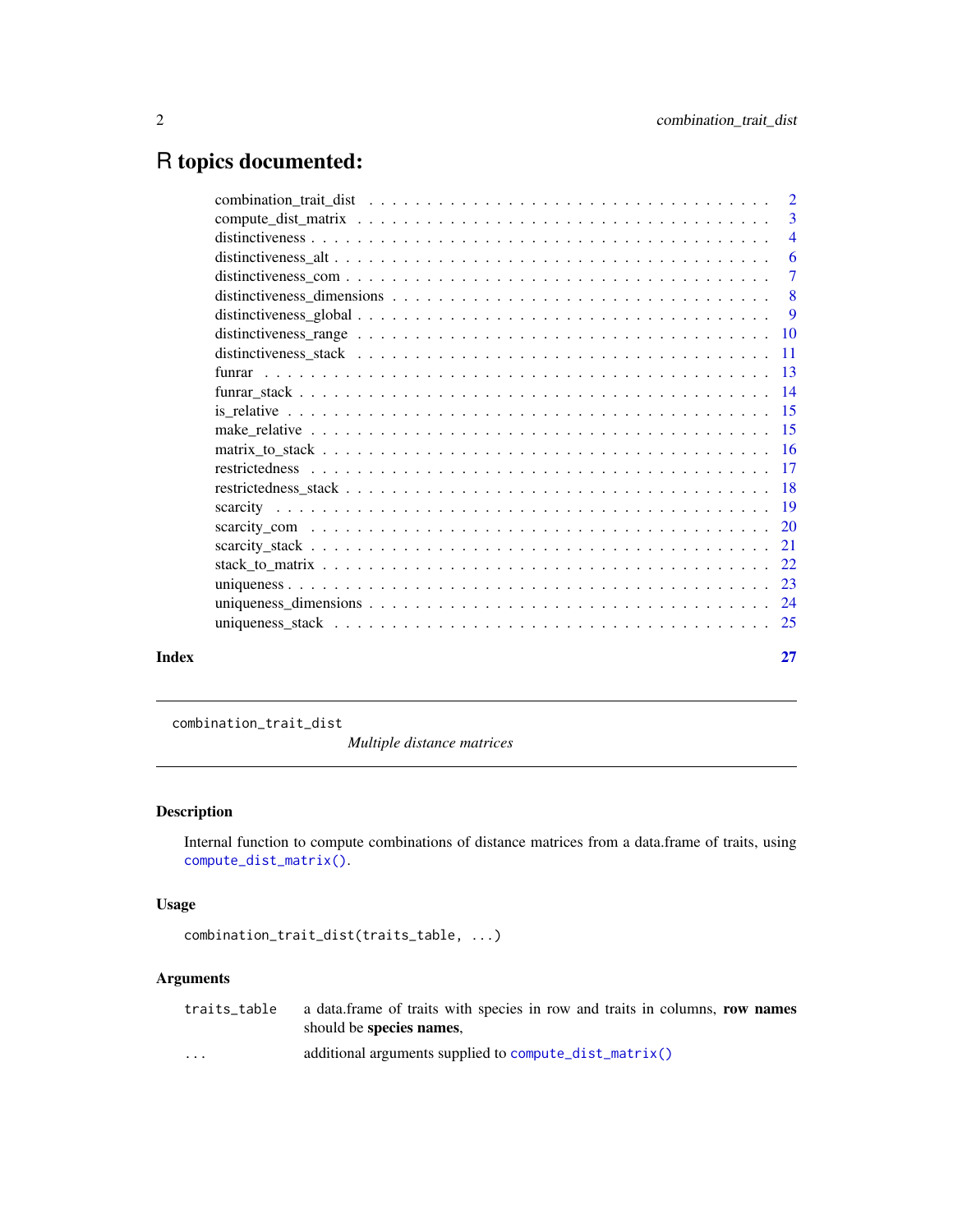# <span id="page-1-0"></span>R topics documented:

|       | - 6 |
|-------|-----|
|       |     |
|       |     |
|       |     |
|       |     |
|       |     |
|       |     |
|       |     |
|       |     |
|       |     |
|       |     |
|       |     |
|       |     |
|       |     |
|       |     |
|       |     |
|       |     |
|       |     |
|       |     |
|       |     |
| Index | 27  |

combination\_trait\_dist

*Multiple distance matrices*

### Description

Internal function to compute combinations of distance matrices from a data.frame of traits, using [compute\\_dist\\_matrix\(\)](#page-2-1).

## Usage

```
combination_trait_dist(traits_table, ...)
```

|                      | traits_table a data.frame of traits with species in row and traits in columns, row names |
|----------------------|------------------------------------------------------------------------------------------|
|                      | should be species names,                                                                 |
| $\ddot{\phantom{0}}$ | additional arguments supplied to compute_dist_matrix()                                   |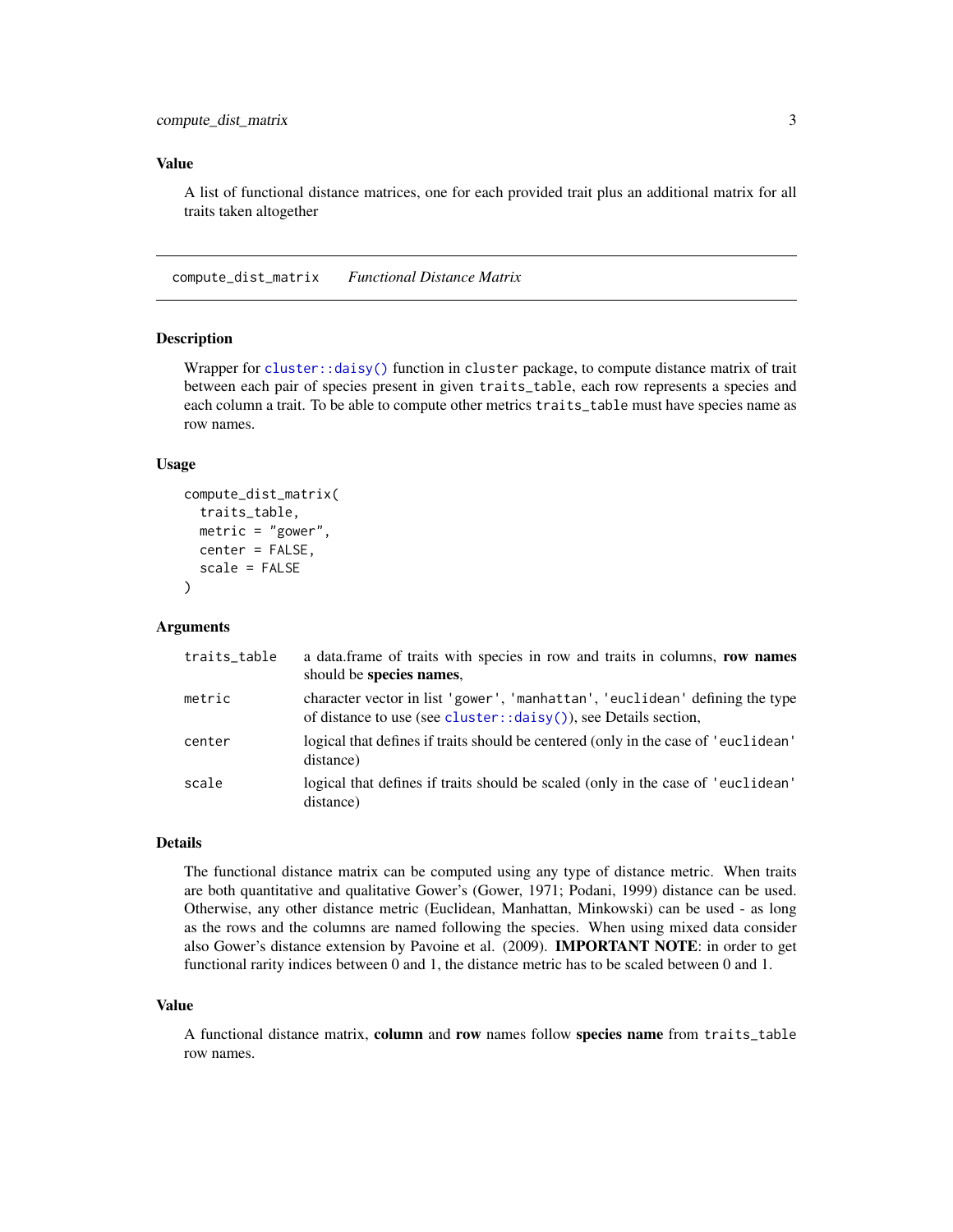### <span id="page-2-0"></span>Value

A list of functional distance matrices, one for each provided trait plus an additional matrix for all traits taken altogether

<span id="page-2-1"></span>compute\_dist\_matrix *Functional Distance Matrix*

### Description

Wrapper for [cluster::daisy\(\)](#page-0-0) function in cluster package, to compute distance matrix of trait between each pair of species present in given traits\_table, each row represents a species and each column a trait. To be able to compute other metrics traits\_table must have species name as row names.

### Usage

```
compute_dist_matrix(
  traits_table,
  metric = "gower",
  center = FALSE,
  scale = FALSE
)
```
### Arguments

| traits_table | a data.frame of traits with species in row and traits in columns, row names<br>should be species names,                                                      |
|--------------|--------------------------------------------------------------------------------------------------------------------------------------------------------------|
| metric       | character vector in list 'gower', 'manhattan', 'euclidean' defining the type<br>of distance to use (see cluster:: $\frac{daisy()}{b}$ , see Details section, |
| center       | logical that defines if traits should be centered (only in the case of 'euclidean'<br>distance)                                                              |
| scale        | logical that defines if traits should be scaled (only in the case of 'euclidean'<br>distance)                                                                |

#### Details

The functional distance matrix can be computed using any type of distance metric. When traits are both quantitative and qualitative Gower's (Gower, 1971; Podani, 1999) distance can be used. Otherwise, any other distance metric (Euclidean, Manhattan, Minkowski) can be used - as long as the rows and the columns are named following the species. When using mixed data consider also Gower's distance extension by Pavoine et al. (2009). IMPORTANT NOTE: in order to get functional rarity indices between 0 and 1, the distance metric has to be scaled between 0 and 1.

#### Value

A functional distance matrix, column and row names follow species name from traits\_table row names.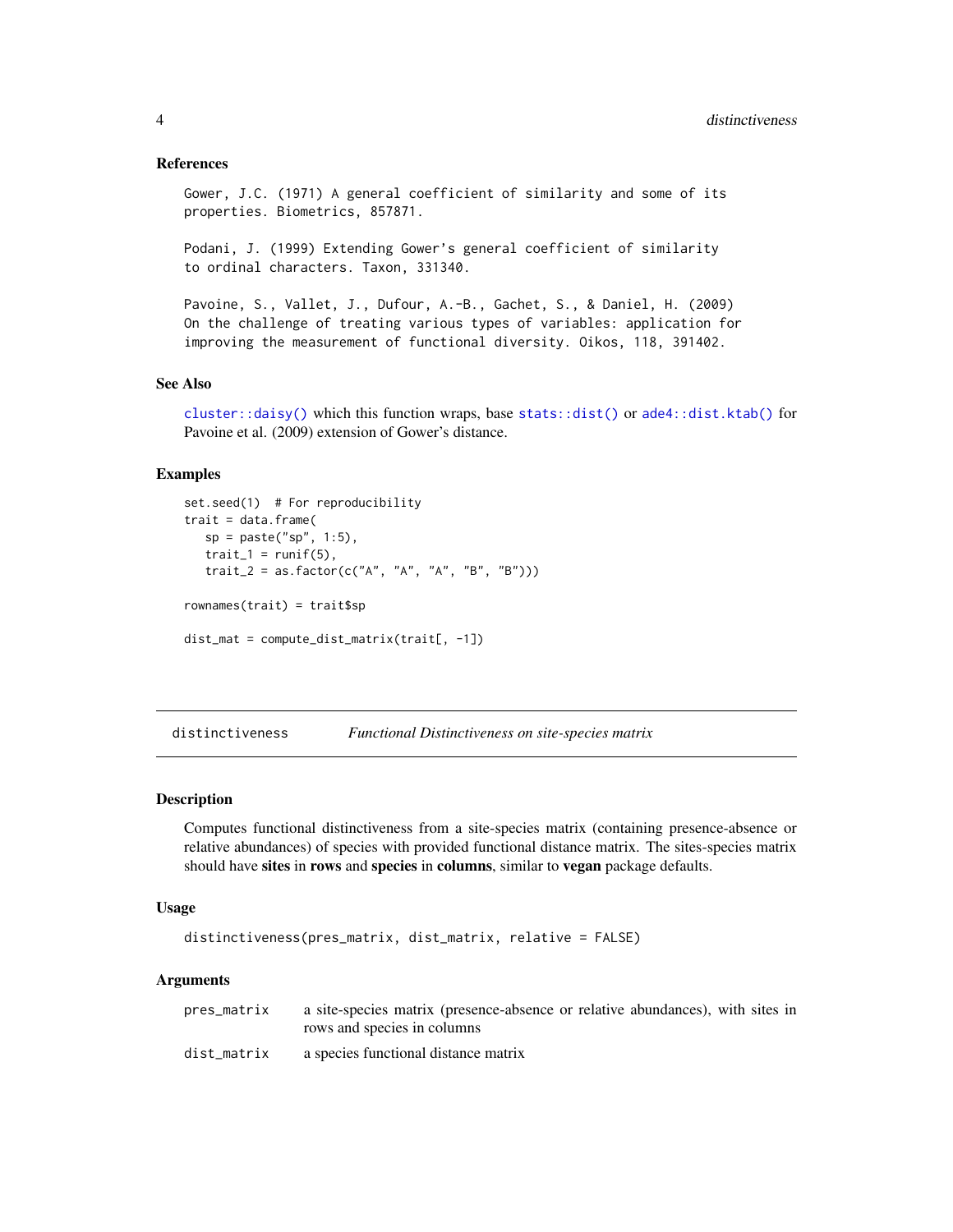#### References

```
Gower, J.C. (1971) A general coefficient of similarity and some of its
properties. Biometrics, 857871.
```
Podani, J. (1999) Extending Gower's general coefficient of similarity to ordinal characters. Taxon, 331340.

Pavoine, S., Vallet, J., Dufour, A.-B., Gachet, S., & Daniel, H. (2009) On the challenge of treating various types of variables: application for improving the measurement of functional diversity. Oikos, 118, 391402.

#### See Also

[cluster::daisy\(\)](#page-0-0) which this function wraps, base [stats::dist\(\)](#page-0-0) or [ade4::dist.ktab\(\)](#page-0-0) for Pavoine et al. (2009) extension of Gower's distance.

#### Examples

```
set.seed(1) # For reproducibility
\text{trait} = \text{data}. frame(
   sp = paste("sp", 1:5),
   trait_1 = runif(5),
   trait_2 = as.factor(c("A", "A", "A", "B", "B")))
rownames(trait) = trait$sp
dist_mat = compute_dist_matrix(trait[, -1])
```
<span id="page-3-1"></span>distinctiveness *Functional Distinctiveness on site-species matrix*

### Description

Computes functional distinctiveness from a site-species matrix (containing presence-absence or relative abundances) of species with provided functional distance matrix. The sites-species matrix should have sites in rows and species in columns, similar to vegan package defaults.

#### Usage

```
distinctiveness(pres_matrix, dist_matrix, relative = FALSE)
```

| pres_matrix | a site-species matrix (presence-absence or relative abundances), with sites in |
|-------------|--------------------------------------------------------------------------------|
|             | rows and species in columns                                                    |
| dist_matrix | a species functional distance matrix                                           |

<span id="page-3-0"></span>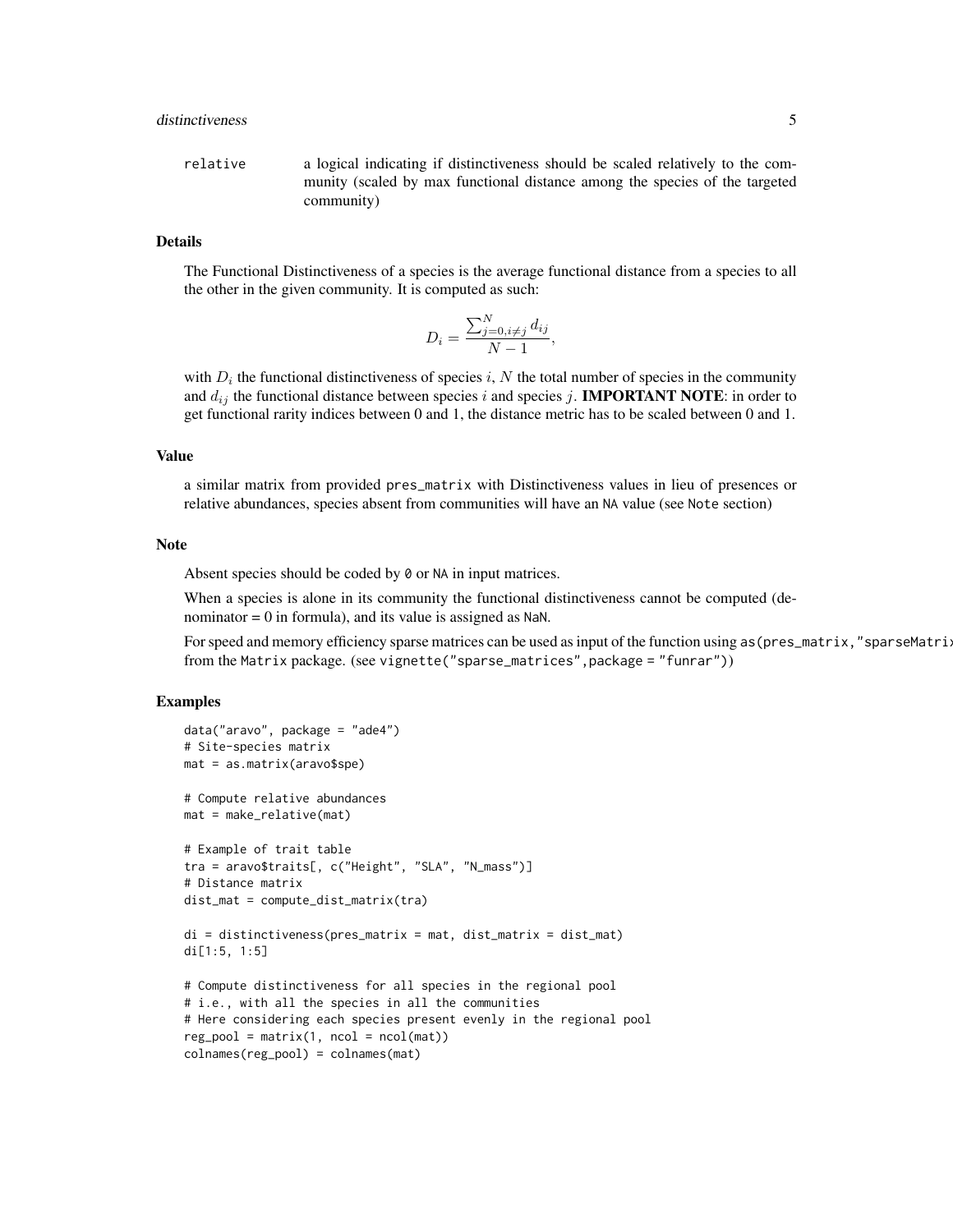relative a logical indicating if distinctiveness should be scaled relatively to the community (scaled by max functional distance among the species of the targeted community)

### Details

The Functional Distinctiveness of a species is the average functional distance from a species to all the other in the given community. It is computed as such:

$$
D_i = \frac{\sum_{j=0, i \neq j}^N d_{ij}}{N-1},
$$

with  $D_i$  the functional distinctiveness of species i, N the total number of species in the community and  $d_{ij}$  the functional distance between species i and species j. **IMPORTANT NOTE**: in order to get functional rarity indices between 0 and 1, the distance metric has to be scaled between 0 and 1.

### Value

a similar matrix from provided pres\_matrix with Distinctiveness values in lieu of presences or relative abundances, species absent from communities will have an NA value (see Note section)

#### Note

Absent species should be coded by 0 or NA in input matrices.

When a species is alone in its community the functional distinctiveness cannot be computed (denominator  $= 0$  in formula), and its value is assigned as NaN.

For speed and memory efficiency sparse matrices can be used as input of the function using as (pres\_matrix,"sparseMatri: from the Matrix package. (see vignette("sparse\_matrices",package = "funrar"))

#### Examples

```
data("aravo", package = "ade4")
# Site-species matrix
mat = as.matrix(aravo$spe)
# Compute relative abundances
mat = make_relative(mat)
# Example of trait table
tra = aravo$traits[, c("Height", "SLA", "N_mass")]
# Distance matrix
dist_mat = compute_dist_matrix(tra)
di = distinctiveness(pres_matrix = mat, dist_matrix = dist_matrix)di[1:5, 1:5]
# Compute distinctiveness for all species in the regional pool
# i.e., with all the species in all the communities
# Here considering each species present evenly in the regional pool
reg\_pool = matrix(1, ncol = ncol(mat))colnames(reg_pool) = colnames(mat)
```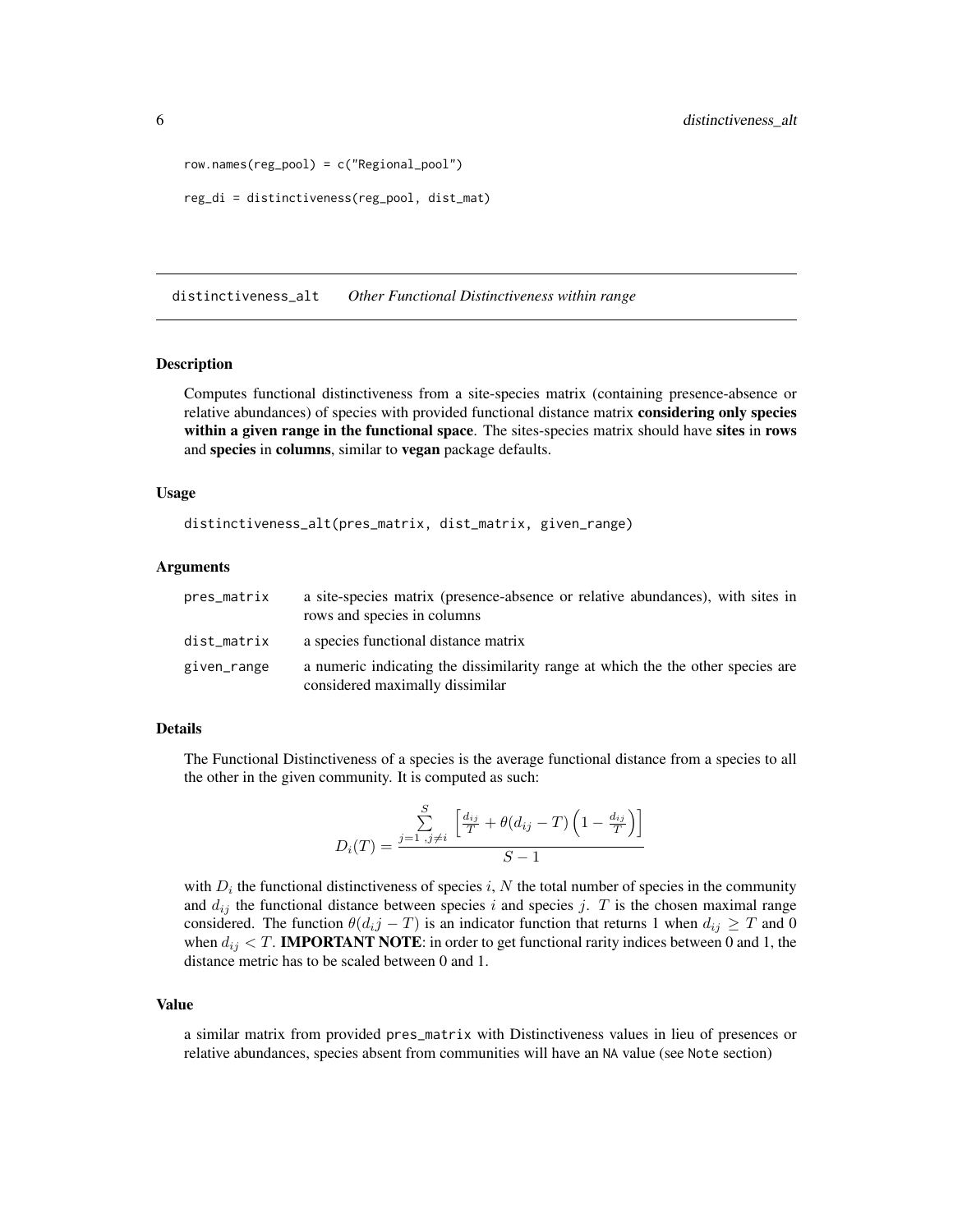```
row.names(reg_pool) = c("Regional_pool")
reg_di = distinctiveness(reg_pool, dist_mat)
```
distinctiveness\_alt *Other Functional Distinctiveness within range*

#### Description

Computes functional distinctiveness from a site-species matrix (containing presence-absence or relative abundances) of species with provided functional distance matrix considering only species within a given range in the functional space. The sites-species matrix should have sites in rows and species in columns, similar to vegan package defaults.

#### Usage

distinctiveness\_alt(pres\_matrix, dist\_matrix, given\_range)

#### Arguments

| pres_matrix | a site-species matrix (presence-absence or relative abundances), with sites in<br>rows and species in columns      |
|-------------|--------------------------------------------------------------------------------------------------------------------|
| dist_matrix | a species functional distance matrix                                                                               |
| given_range | a numeric indicating the dissimilarity range at which the the other species are<br>considered maximally dissimilar |

### Details

The Functional Distinctiveness of a species is the average functional distance from a species to all the other in the given community. It is computed as such:

$$
D_i(T) = \frac{\sum_{j=1, j \neq i}^{S} \left[ \frac{d_{ij}}{T} + \theta(d_{ij} - T) \left( 1 - \frac{d_{ij}}{T} \right) \right]}{S - 1}
$$

with  $D_i$  the functional distinctiveness of species i, N the total number of species in the community and  $d_{ij}$  the functional distance between species i and species j. T is the chosen maximal range considered. The function  $\theta(d_{i,j} - T)$  is an indicator function that returns 1 when  $d_{ij} \geq T$  and 0 when  $d_{ij} < T$ . **IMPORTANT NOTE**: in order to get functional rarity indices between 0 and 1, the distance metric has to be scaled between 0 and 1.

#### Value

a similar matrix from provided pres\_matrix with Distinctiveness values in lieu of presences or relative abundances, species absent from communities will have an NA value (see Note section)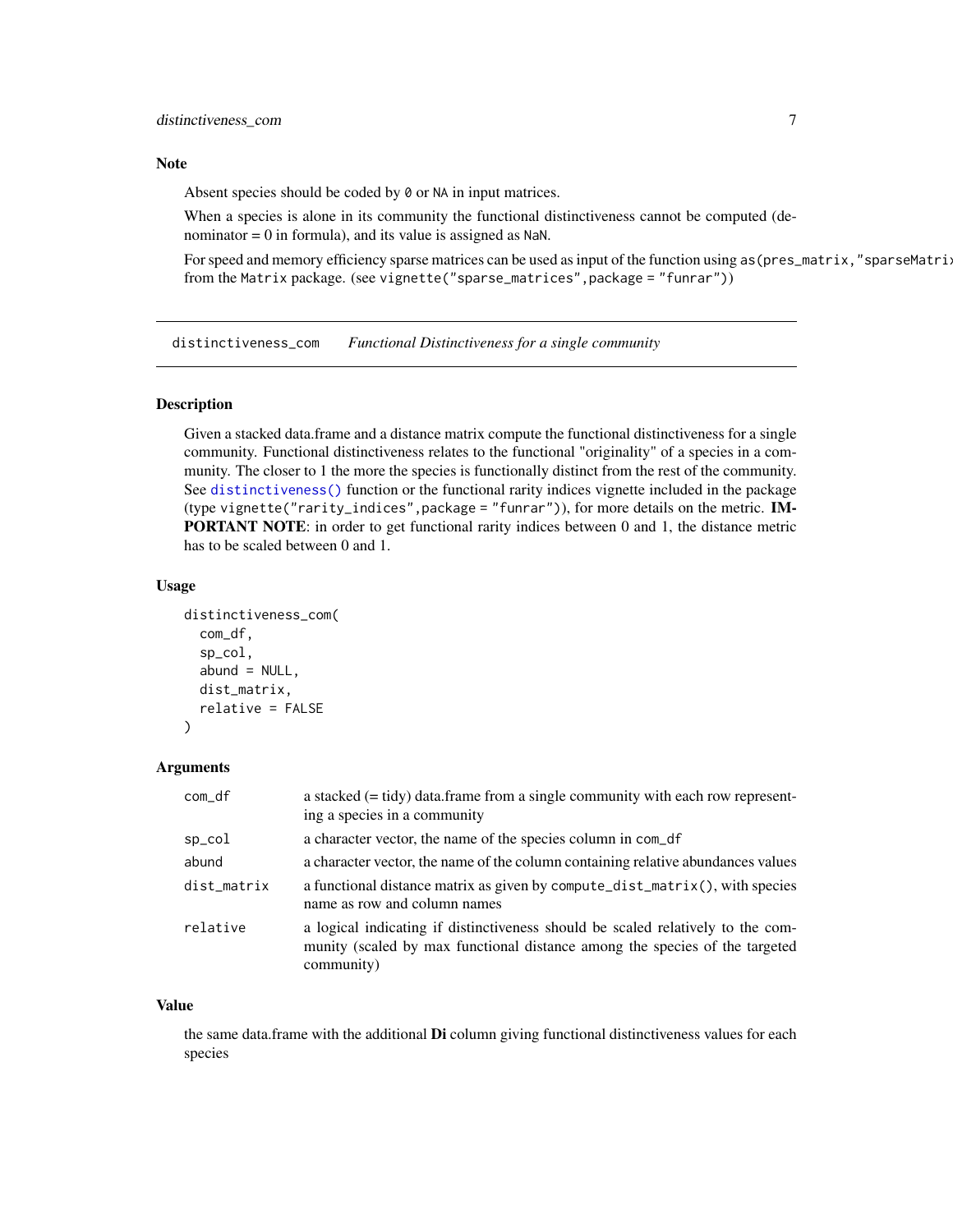### <span id="page-6-0"></span>Note

Absent species should be coded by 0 or NA in input matrices.

When a species is alone in its community the functional distinctiveness cannot be computed (denominator  $= 0$  in formula), and its value is assigned as NaN.

For speed and memory efficiency sparse matrices can be used as input of the function using as (pres\_matrix,"sparseMatri: from the Matrix package. (see vignette("sparse\_matrices",package = "funrar"))

<span id="page-6-1"></span>distinctiveness\_com *Functional Distinctiveness for a single community*

### Description

Given a stacked data.frame and a distance matrix compute the functional distinctiveness for a single community. Functional distinctiveness relates to the functional "originality" of a species in a community. The closer to 1 the more the species is functionally distinct from the rest of the community. See [distinctiveness\(\)](#page-3-1) function or the functional rarity indices vignette included in the package (type vignette("rarity\_indices",package = "funrar")), for more details on the metric. IM-**PORTANT NOTE:** in order to get functional rarity indices between 0 and 1, the distance metric has to be scaled between 0 and 1.

#### Usage

```
distinctiveness_com(
  com_df,
  sp_col,
  abund = NULL,dist_matrix,
  relative = FALSE
)
```
#### Arguments

| com_df      | a stacked $(= \text{tidy})$ data. frame from a single community with each row represent-<br>ing a species in a community                                                     |
|-------------|------------------------------------------------------------------------------------------------------------------------------------------------------------------------------|
| sp_col      | a character vector, the name of the species column in com_df                                                                                                                 |
| abund       | a character vector, the name of the column containing relative abundances values                                                                                             |
| dist_matrix | a functional distance matrix as given by compute_dist_matrix(), with species<br>name as row and column names                                                                 |
| relative    | a logical indicating if distinctiveness should be scaled relatively to the com-<br>munity (scaled by max functional distance among the species of the targeted<br>community) |

#### Value

the same data.frame with the additional **Di** column giving functional distinctiveness values for each species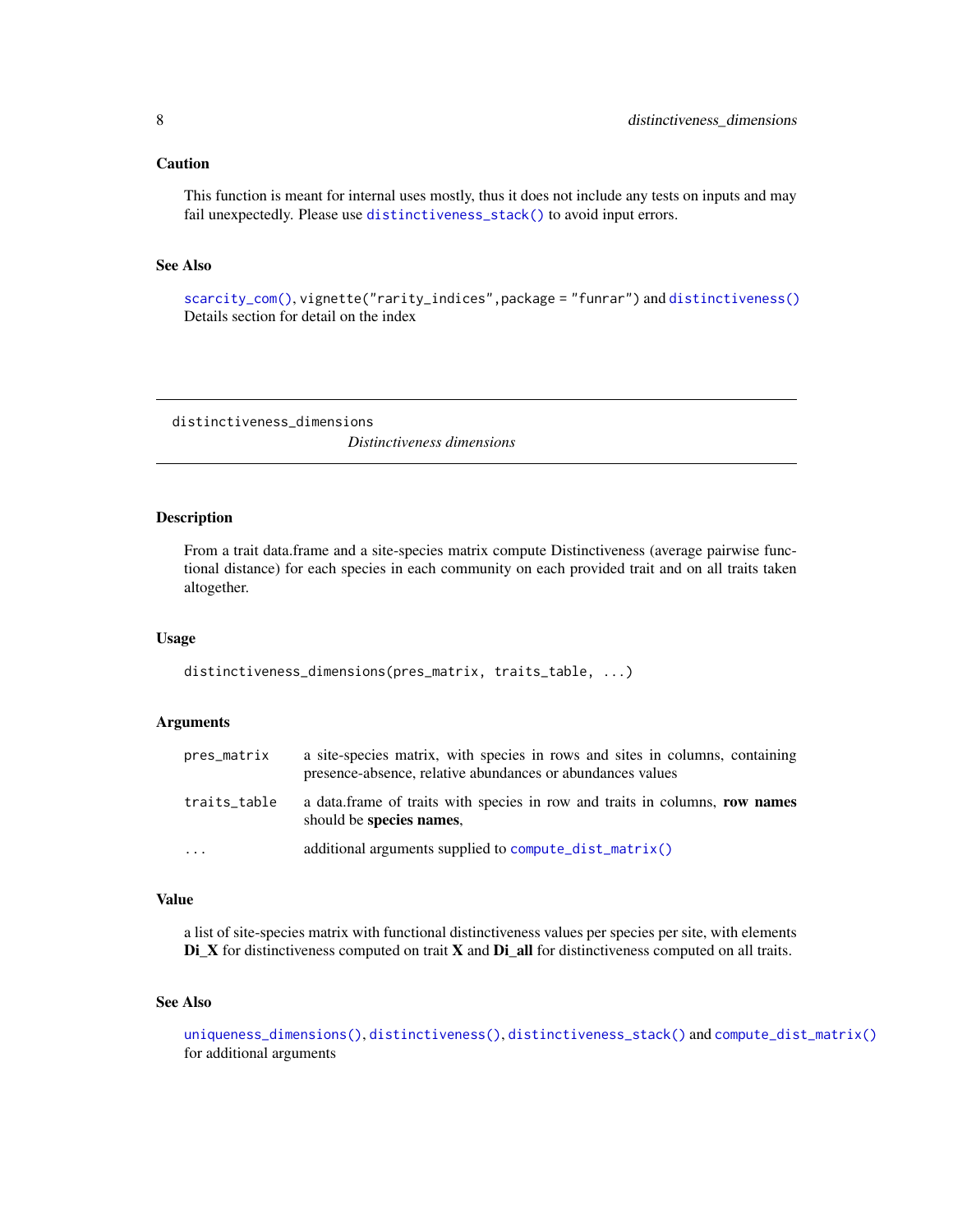### <span id="page-7-0"></span>Caution

This function is meant for internal uses mostly, thus it does not include any tests on inputs and may fail unexpectedly. Please use [distinctiveness\\_stack\(\)](#page-10-1) to avoid input errors.

## See Also

[scarcity\\_com\(\)](#page-19-1), vignette("rarity\_indices",package = "funrar") and [distinctiveness\(\)](#page-3-1) Details section for detail on the index

<span id="page-7-1"></span>distinctiveness\_dimensions *Distinctiveness dimensions*

#### Description

From a trait data.frame and a site-species matrix compute Distinctiveness (average pairwise functional distance) for each species in each community on each provided trait and on all traits taken altogether.

#### Usage

distinctiveness\_dimensions(pres\_matrix, traits\_table, ...)

#### **Arguments**

| pres_matrix  | a site-species matrix, with species in rows and sites in columns, containing<br>presence-absence, relative abundances or abundances values |
|--------------|--------------------------------------------------------------------------------------------------------------------------------------------|
| traits_table | a data frame of traits with species in row and traits in columns, row names<br>should be species names.                                    |
| $\cdots$     | additional arguments supplied to compute_dist_matrix()                                                                                     |

### Value

a list of site-species matrix with functional distinctiveness values per species per site, with elements Di\_X for distinctiveness computed on trait X and Di\_all for distinctiveness computed on all traits.

#### See Also

[uniqueness\\_dimensions\(\)](#page-23-1), [distinctiveness\(\)](#page-3-1), [distinctiveness\\_stack\(\)](#page-10-1) and [compute\\_dist\\_matrix\(\)](#page-2-1) for additional arguments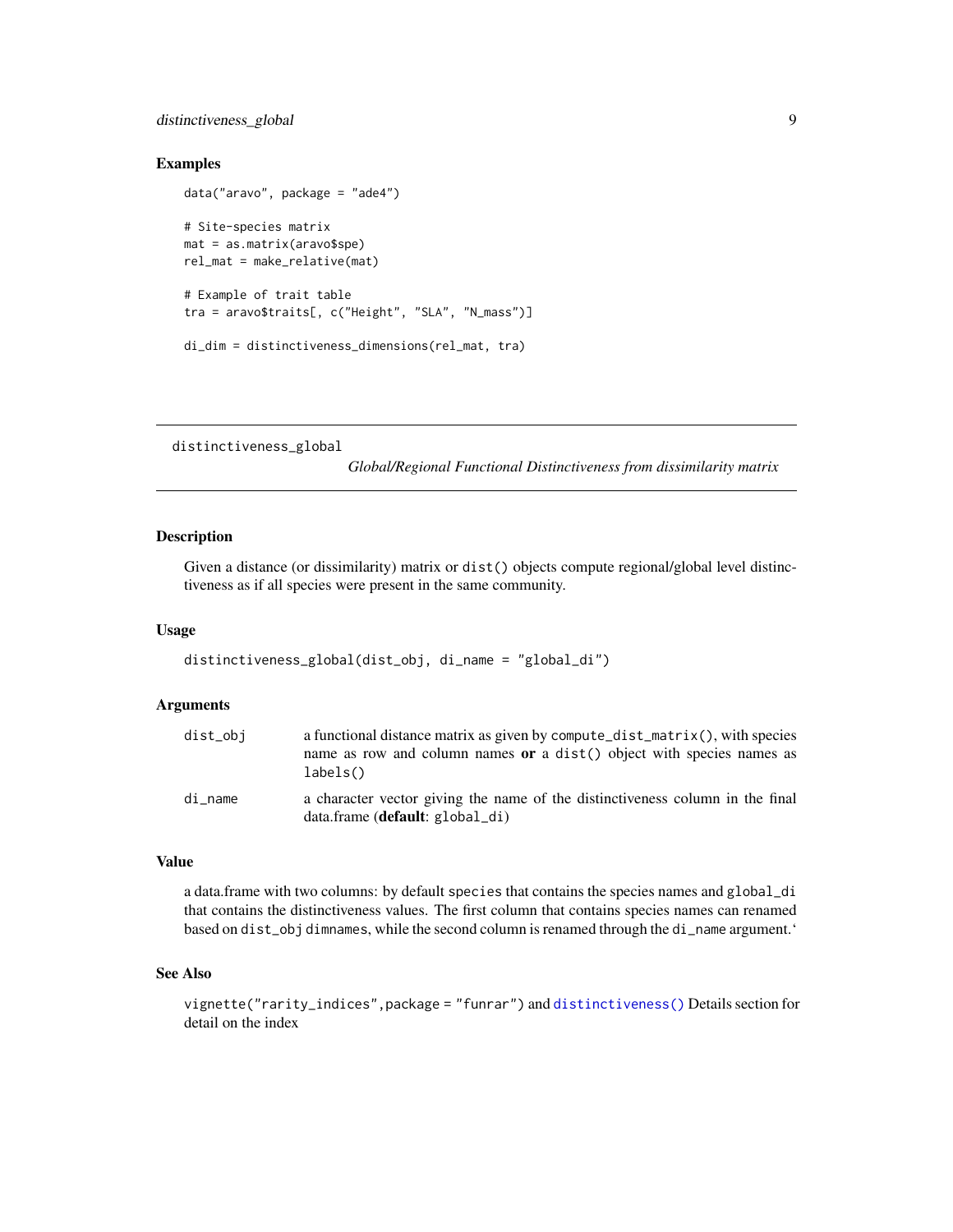### <span id="page-8-0"></span>distinctiveness\_global 9

### Examples

```
data("aravo", package = "ade4")
# Site-species matrix
mat = as.matrix(aravo$spe)
rel_mat = make_relative(mat)
# Example of trait table
tra = aravo$traits[, c("Height", "SLA", "N_mass")]
di_dim = distinctiveness_dimensions(rel_mat, tra)
```
distinctiveness\_global

*Global/Regional Functional Distinctiveness from dissimilarity matrix*

### Description

Given a distance (or dissimilarity) matrix or dist() objects compute regional/global level distinctiveness as if all species were present in the same community.

#### Usage

```
distinctiveness_global(dist_obj, di_name = "global_di")
```
#### **Arguments**

| dist_obj | a functional distance matrix as given by compute_dist_matrix(), with species<br>name as row and column names or a dist() object with species names as |
|----------|-------------------------------------------------------------------------------------------------------------------------------------------------------|
|          | labels()                                                                                                                                              |
| di name  | a character vector giving the name of the distinctiveness column in the final<br>$data$ : $frame$ $(default: global_d i)$                             |

#### Value

a data.frame with two columns: by default species that contains the species names and global\_di that contains the distinctiveness values. The first column that contains species names can renamed based on dist\_obj dimnames, while the second column is renamed through the di\_name argument.'

### See Also

vignette("rarity\_indices",package = "funrar") and [distinctiveness\(\)](#page-3-1) Details section for detail on the index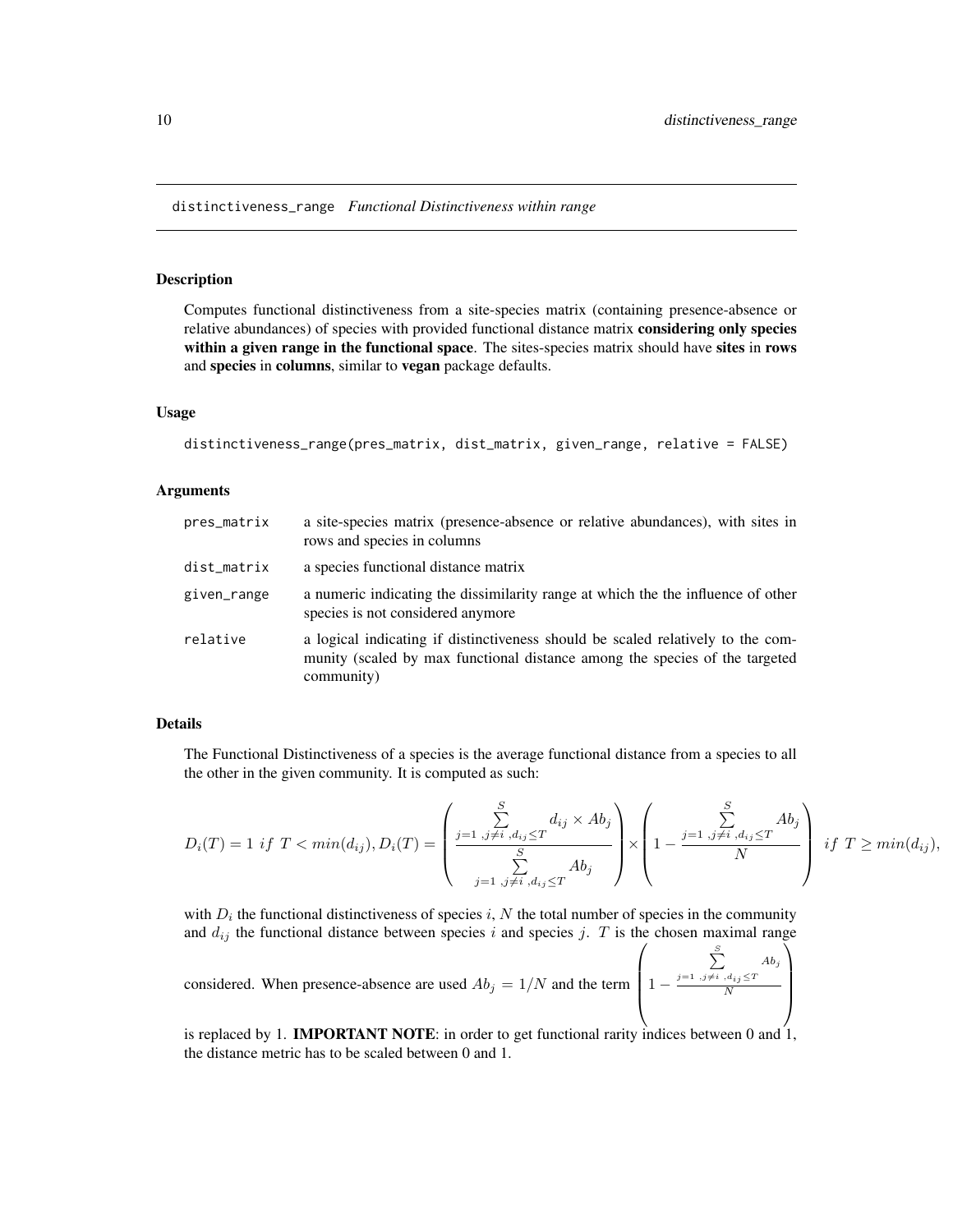### <span id="page-9-0"></span>Description

Computes functional distinctiveness from a site-species matrix (containing presence-absence or relative abundances) of species with provided functional distance matrix considering only species within a given range in the functional space. The sites-species matrix should have sites in rows and species in columns, similar to vegan package defaults.

### Usage

```
distinctiveness_range(pres_matrix, dist_matrix, given_range, relative = FALSE)
```
### Arguments

| pres_matrix | a site-species matrix (presence-absence or relative abundances), with sites in<br>rows and species in columns                                                                |
|-------------|------------------------------------------------------------------------------------------------------------------------------------------------------------------------------|
| dist_matrix | a species functional distance matrix                                                                                                                                         |
| given_range | a numeric indicating the dissimilarity range at which the the influence of other<br>species is not considered anymore                                                        |
| relative    | a logical indicating if distinctiveness should be scaled relatively to the com-<br>munity (scaled by max functional distance among the species of the targeted<br>community) |

#### Details

The Functional Distinctiveness of a species is the average functional distance from a species to all the other in the given community. It is computed as such:

$$
D_i(T) = 1 \text{ if } T < min(d_{ij}), D_i(T) = \left( \frac{\sum_{j=1,j\neq i,d_{ij} \le T}^S d_{ij} \times Ab_j}{\sum_{j=1,j\neq i,d_{ij} \le T}^S Ab_j} \right) \times \left( 1 - \frac{\sum_{j=1,j\neq i,d_{ij} \le T}^S Ab_j}{N} \right) \text{ if } T \ge min(d_{ij}),
$$

with  $D_i$  the functional distinctiveness of species i, N the total number of species in the community and  $d_{ij}$  the functional distance between species i and species j. T is the chosen maximal range

considered. When presence-absence are used 
$$
Ab_j = 1/N
$$
 and the term  $\left(1 - \frac{\sum_{j=1}^{S} A b_j}{N} \right)$ 

is replaced by 1. **IMPORTANT NOTE**: in order to get functional rarity indices between 0 and 1, the distance metric has to be scaled between 0 and 1.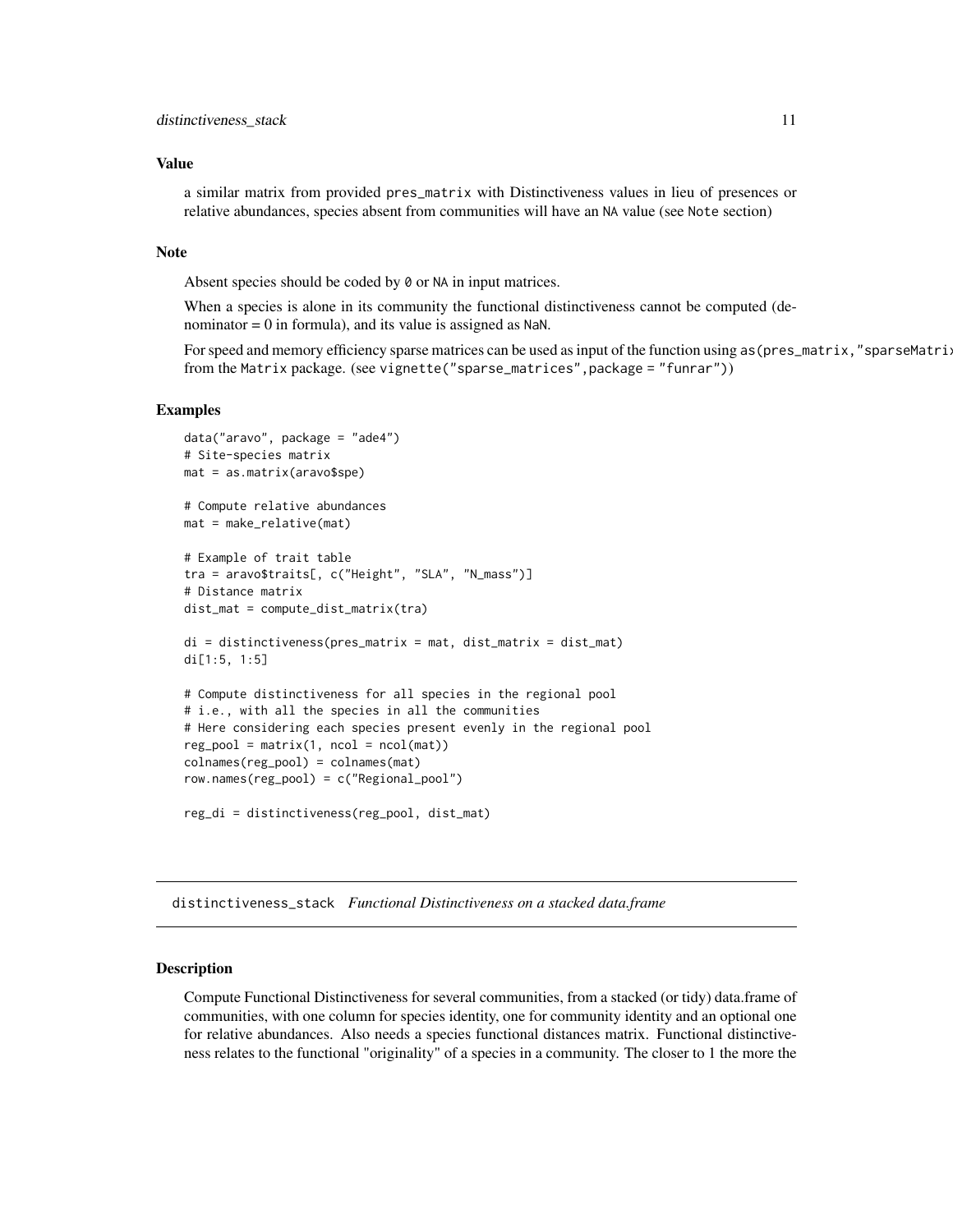### <span id="page-10-0"></span>Value

a similar matrix from provided pres\_matrix with Distinctiveness values in lieu of presences or relative abundances, species absent from communities will have an NA value (see Note section)

#### Note

Absent species should be coded by 0 or NA in input matrices.

When a species is alone in its community the functional distinctiveness cannot be computed (denominator  $= 0$  in formula), and its value is assigned as NaN.

For speed and memory efficiency sparse matrices can be used as input of the function using as (pres\_matrix,"sparseMatri: from the Matrix package. (see vignette("sparse\_matrices",package = "funrar"))

### Examples

```
data("aravo", package = "ade4")
# Site-species matrix
mat = as.matrix(aravo$spe)
# Compute relative abundances
mat = make_relative(mat)
# Example of trait table
tra = aravo$traits[, c("Height", "SLA", "N_mass")]
# Distance matrix
dist_mat = compute_dist_matrix(tra)
di = distinctiveness(pres_matrix = mat, dist_matrix = dist_mat)
di[1:5, 1:5]
# Compute distinctiveness for all species in the regional pool
# i.e., with all the species in all the communities
# Here considering each species present evenly in the regional pool
reg\_pool = matrix(1, ncol = ncol(mat))colnames(reg_pool) = colnames(mat)
row.names(reg_pool) = c("Regional_pool")
reg_di = distinctiveness(reg_pool, dist_mat)
```
<span id="page-10-1"></span>distinctiveness\_stack *Functional Distinctiveness on a stacked data.frame*

#### Description

Compute Functional Distinctiveness for several communities, from a stacked (or tidy) data.frame of communities, with one column for species identity, one for community identity and an optional one for relative abundances. Also needs a species functional distances matrix. Functional distinctiveness relates to the functional "originality" of a species in a community. The closer to 1 the more the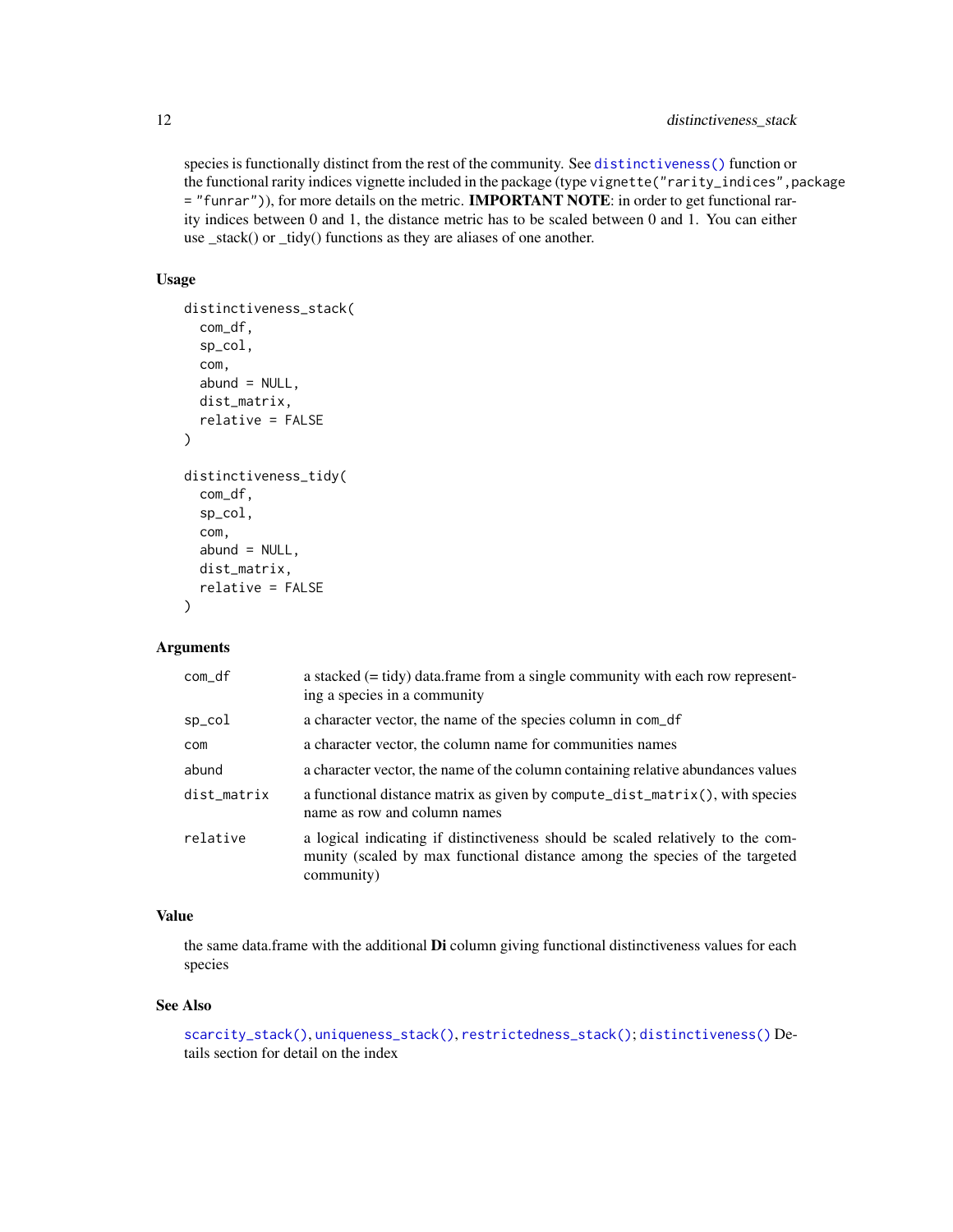### <span id="page-11-0"></span>12 distinctiveness\_stack

species is functionally distinct from the rest of the community. See [distinctiveness\(\)](#page-3-1) function or the functional rarity indices vignette included in the package (type vignette("rarity\_indices",package = "funrar")), for more details on the metric. IMPORTANT NOTE: in order to get functional rarity indices between 0 and 1, the distance metric has to be scaled between 0 and 1. You can either use \_stack() or \_tidy() functions as they are aliases of one another.

### Usage

```
distinctiveness_stack(
  com_df,
  sp_col,
  com,
  abund = NULL,dist_matrix,
  relative = FALSE
)
distinctiveness_tidy(
  com_df,
  sp_col,
  com,
  abund = NULL,dist_matrix,
  relative = FALSE
)
```
#### Arguments

| com_df      | a stacked $(= \text{tidy})$ data. frame from a single community with each row represent-<br>ing a species in a community                                                     |
|-------------|------------------------------------------------------------------------------------------------------------------------------------------------------------------------------|
| sp_col      | a character vector, the name of the species column in com_df                                                                                                                 |
| com         | a character vector, the column name for communities names                                                                                                                    |
| abund       | a character vector, the name of the column containing relative abundances values                                                                                             |
| dist_matrix | a functional distance matrix as given by compute_dist_matrix(), with species<br>name as row and column names                                                                 |
| relative    | a logical indicating if distinctiveness should be scaled relatively to the com-<br>munity (scaled by max functional distance among the species of the targeted<br>community) |

### Value

the same data.frame with the additional **Di** column giving functional distinctiveness values for each species

### See Also

```
scarcity_stack(), uniqueness_stack(), restrictedness_stack(); distinctiveness() De-
tails section for detail on the index
```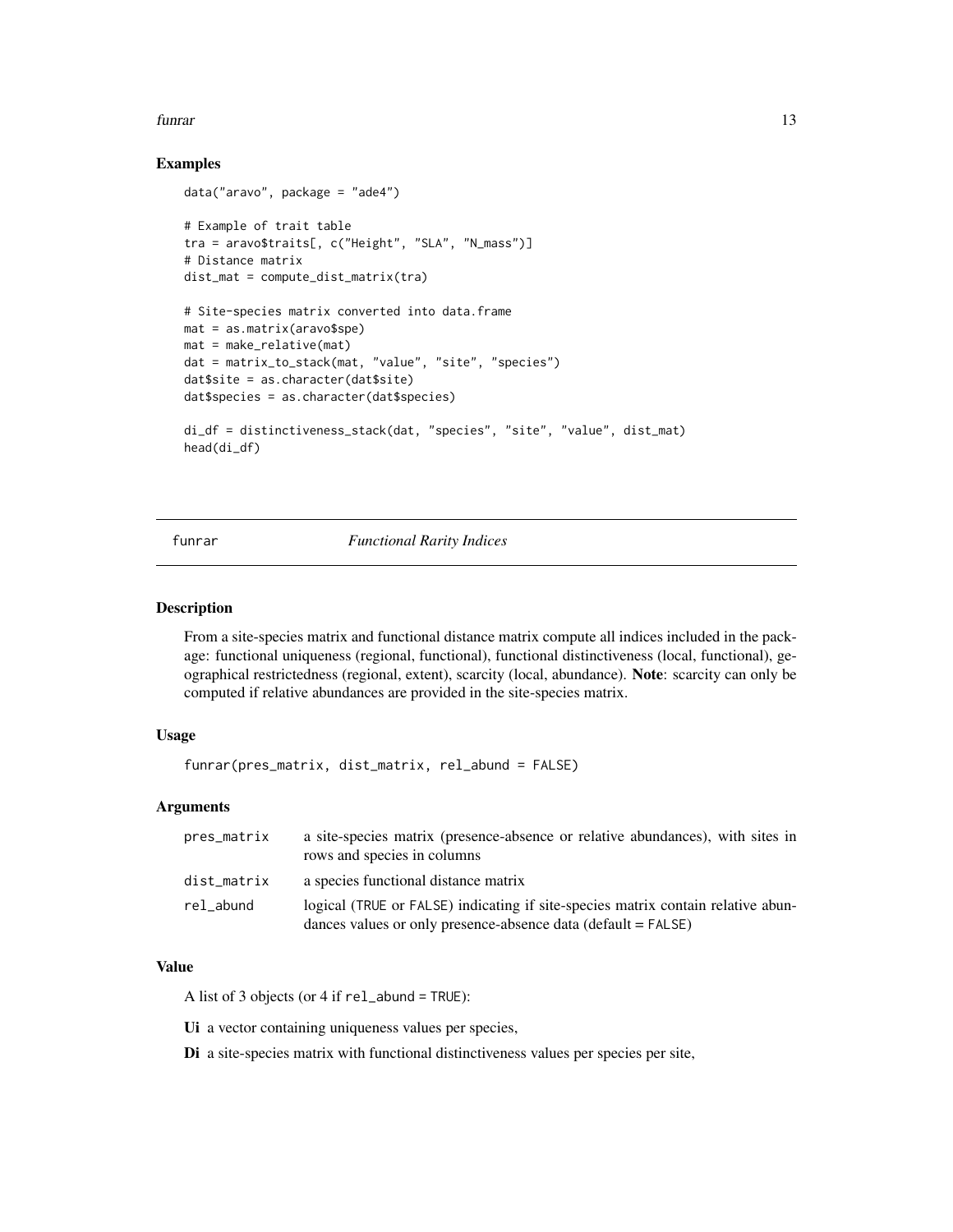#### <span id="page-12-0"></span>funrar that the contract of the contract of the contract of the contract of the contract of the contract of the contract of the contract of the contract of the contract of the contract of the contract of the contract of th

### Examples

```
data("aravo", package = "ade4")
# Example of trait table
tra = aravo$traits[, c("Height", "SLA", "N_mass")]
# Distance matrix
dist_mat = compute_dist_matrix(tra)
# Site-species matrix converted into data.frame
mat = as.matrix(aravo$spe)
mat = make relative(mat)dat = matrix_to_stack(mat, "value", "site", "species")
dat$site = as.character(dat$site)
dat$species = as.character(dat$species)
di_df = distinctiveness_stack(dat, "species", "site", "value", dist_mat)
head(di_df)
```
funrar *Functional Rarity Indices*

### Description

From a site-species matrix and functional distance matrix compute all indices included in the package: functional uniqueness (regional, functional), functional distinctiveness (local, functional), geographical restrictedness (regional, extent), scarcity (local, abundance). Note: scarcity can only be computed if relative abundances are provided in the site-species matrix.

### Usage

```
funrar(pres_matrix, dist_matrix, rel_abund = FALSE)
```
### Arguments

| pres_matrix | a site-species matrix (presence-absence or relative abundances), with sites in<br>rows and species in columns                                                       |
|-------------|---------------------------------------------------------------------------------------------------------------------------------------------------------------------|
| dist_matrix | a species functional distance matrix                                                                                                                                |
| rel abund   | logical (TRUE or FALSE) indicating if site-species matrix contain relative abun-<br>dances values or only presence-absence data ( $\text{default} = \text{FALSE}$ ) |

### Value

A list of 3 objects (or 4 if rel\_abund = TRUE):

Ui a vector containing uniqueness values per species,

Di a site-species matrix with functional distinctiveness values per species per site,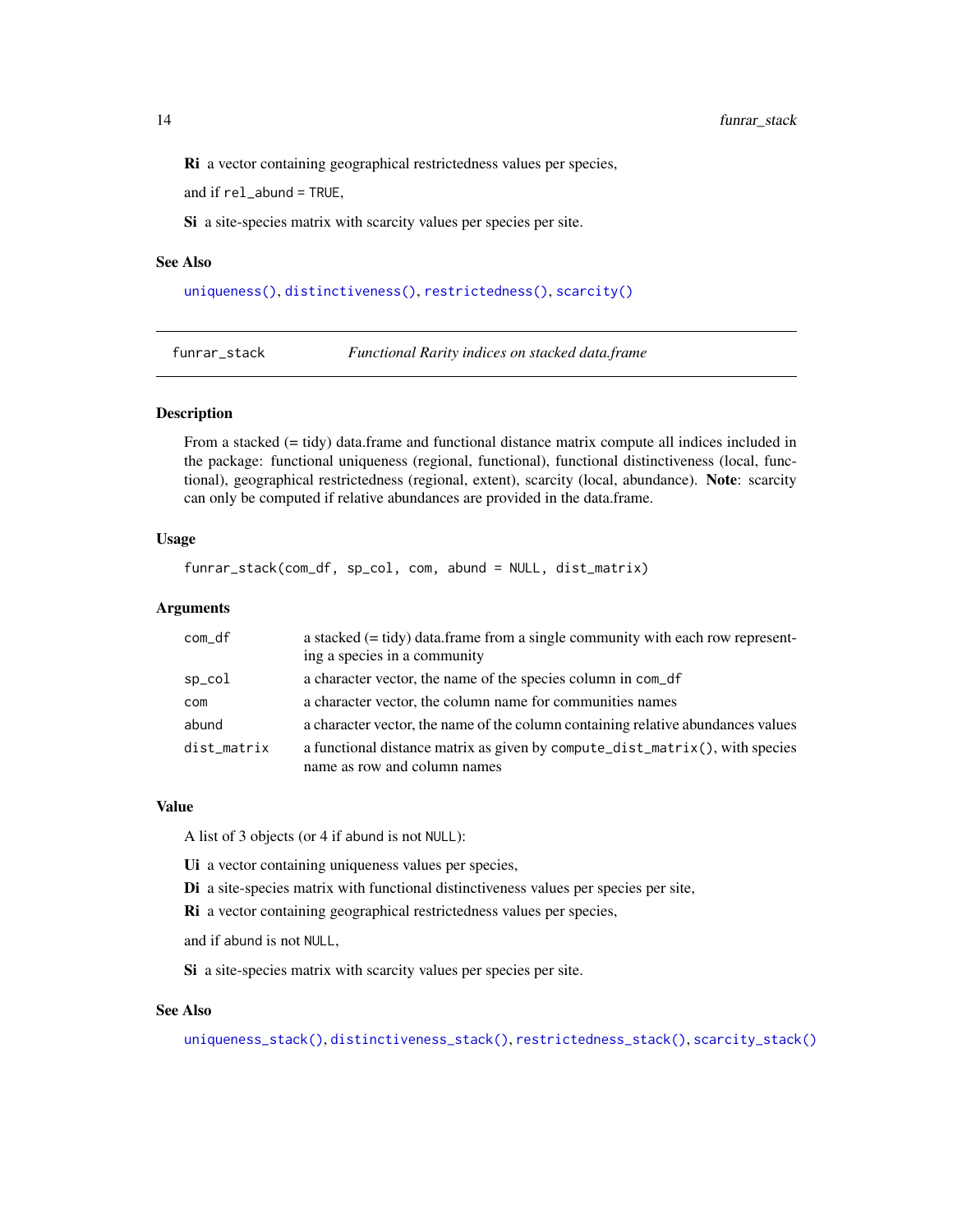<span id="page-13-0"></span>Ri a vector containing geographical restrictedness values per species,

and if rel\_abund = TRUE,

Si a site-species matrix with scarcity values per species per site.

#### See Also

[uniqueness\(\)](#page-22-1), [distinctiveness\(\)](#page-3-1), [restrictedness\(\)](#page-16-1), [scarcity\(\)](#page-18-1)

funrar\_stack *Functional Rarity indices on stacked data.frame*

#### Description

From a stacked (= tidy) data.frame and functional distance matrix compute all indices included in the package: functional uniqueness (regional, functional), functional distinctiveness (local, functional), geographical restrictedness (regional, extent), scarcity (local, abundance). Note: scarcity can only be computed if relative abundances are provided in the data.frame.

### Usage

funrar\_stack(com\_df, sp\_col, com, abund = NULL, dist\_matrix)

### Arguments

| com_df      | a stacked $(= \text{tidy})$ data. frame from a single community with each row represent-<br>ing a species in a community |
|-------------|--------------------------------------------------------------------------------------------------------------------------|
| sp_col      | a character vector, the name of the species column in com_df                                                             |
| com         | a character vector, the column name for communities names                                                                |
| abund       | a character vector, the name of the column containing relative abundances values                                         |
| dist_matrix | a functional distance matrix as given by compute_dist_matrix(), with species<br>name as row and column names             |

#### Value

A list of 3 objects (or 4 if abund is not NULL):

Ui a vector containing uniqueness values per species,

Di a site-species matrix with functional distinctiveness values per species per site,

Ri a vector containing geographical restrictedness values per species,

and if abund is not NULL,

Si a site-species matrix with scarcity values per species per site.

#### See Also

[uniqueness\\_stack\(\)](#page-24-1), [distinctiveness\\_stack\(\)](#page-10-1), [restrictedness\\_stack\(\)](#page-17-1), [scarcity\\_stack\(\)](#page-20-1)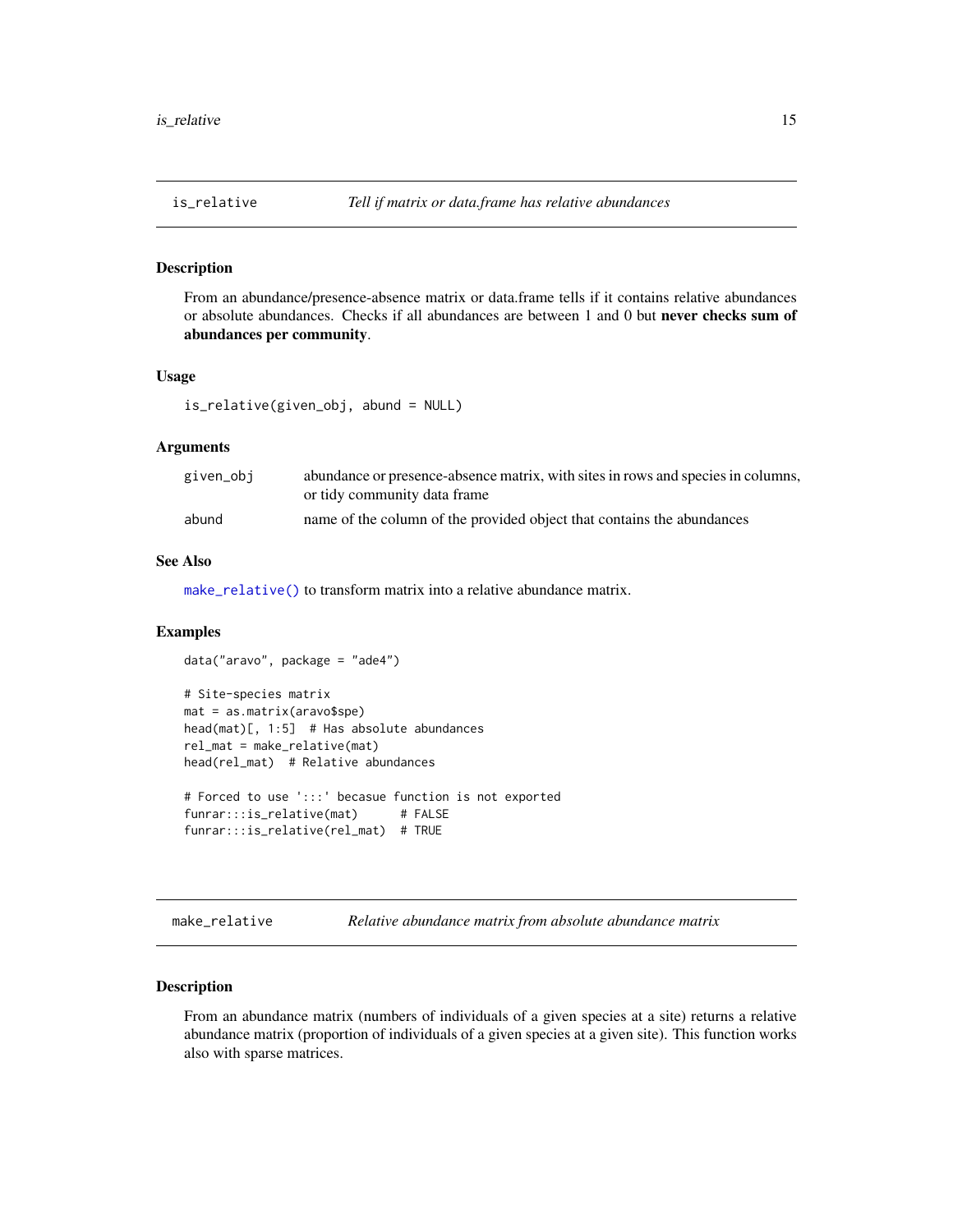#### <span id="page-14-0"></span>Description

From an abundance/presence-absence matrix or data.frame tells if it contains relative abundances or absolute abundances. Checks if all abundances are between 1 and 0 but never checks sum of abundances per community.

### Usage

```
is_relative(given_obj, abund = NULL)
```
data("aravo", package = "ade4")

### **Arguments**

| given_obj | abundance or presence-absence matrix, with sites in rows and species in columns,<br>or tidy community data frame |
|-----------|------------------------------------------------------------------------------------------------------------------|
| abund     | name of the column of the provided object that contains the abundances                                           |

### See Also

[make\\_relative\(\)](#page-14-1) to transform matrix into a relative abundance matrix.

### Examples

```
# Site-species matrix
mat = as.matrix(aravo$spe)
head(mat)[, 1:5] # Has absolute abundances
rel_mat = make_relative(mat)
head(rel_mat) # Relative abundances
# Forced to use ':::' becasue function is not exported
```

```
funrar:::is_relative(mat) # FALSE
funrar:::is_relative(rel_mat) # TRUE
```
<span id="page-14-1"></span>make\_relative *Relative abundance matrix from absolute abundance matrix*

### Description

From an abundance matrix (numbers of individuals of a given species at a site) returns a relative abundance matrix (proportion of individuals of a given species at a given site). This function works also with sparse matrices.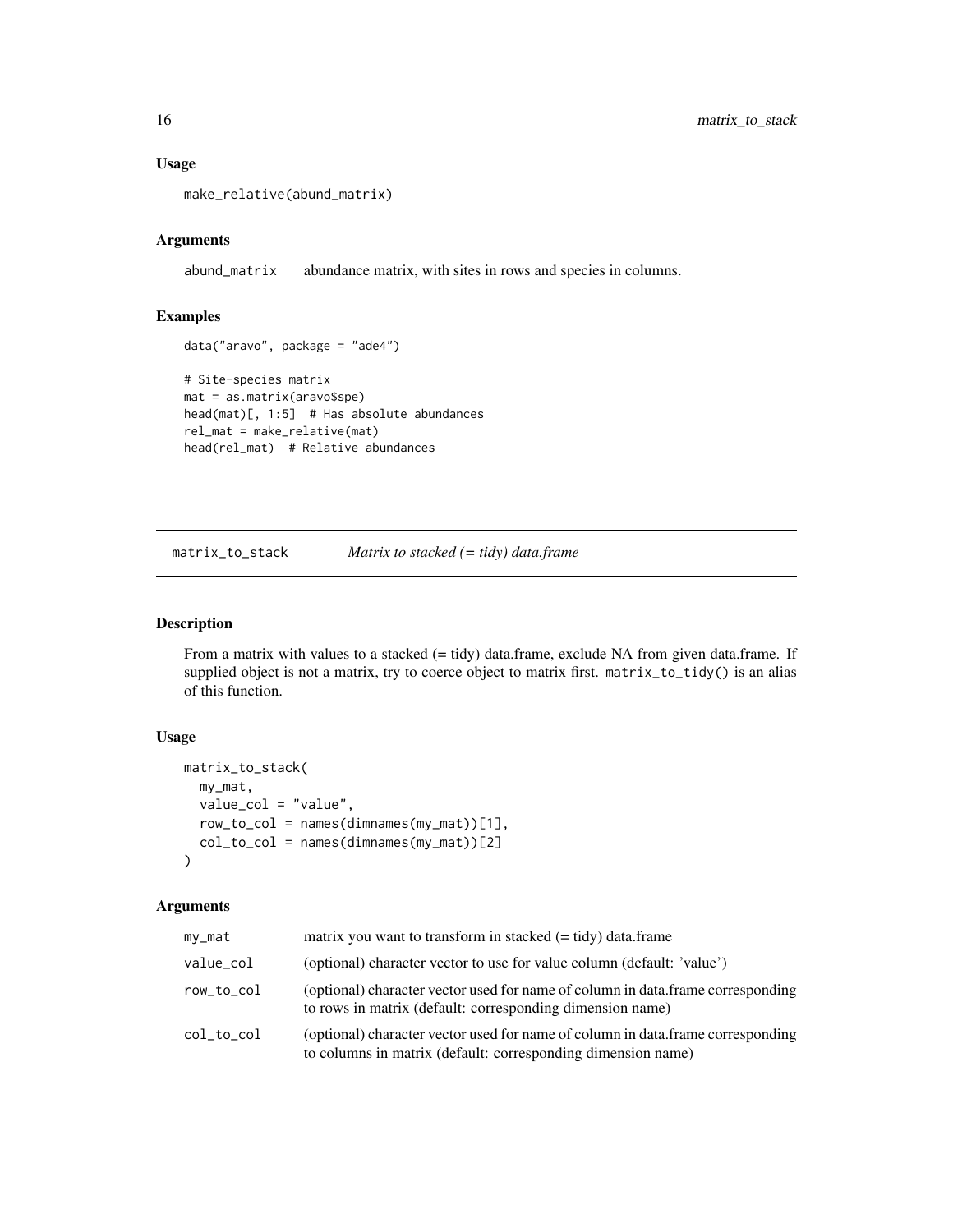### Usage

```
make_relative(abund_matrix)
```
### Arguments

abund\_matrix abundance matrix, with sites in rows and species in columns.

### Examples

data("aravo", package = "ade4")

```
# Site-species matrix
mat = as.matrix(aravo$spe)
head(mat)[, 1:5] # Has absolute abundances
rel_mat = make_relative(mat)
head(rel_mat) # Relative abundances
```
<span id="page-15-1"></span>matrix\_to\_stack *Matrix to stacked (= tidy) data.frame*

### Description

From a matrix with values to a stacked (= tidy) data.frame, exclude NA from given data.frame. If supplied object is not a matrix, try to coerce object to matrix first. matrix\_to\_tidy() is an alias of this function.

### Usage

```
matrix_to_stack(
 my_mat,
  value_col = "value",
  row_to_col = names(dimnames(my_mat))[1],
  col_to_col = names(dimnames(my_matrix))[2])
```

| my_mat     | matrix you want to transform in stacked $(= \text{tidy})$ data.frame                                                                            |
|------------|-------------------------------------------------------------------------------------------------------------------------------------------------|
| value_col  | (optional) character vector to use for value column (default: 'value')                                                                          |
| row_to_col | (optional) character vector used for name of column in data.frame corresponding<br>to rows in matrix (default: corresponding dimension name)    |
| col_to_col | (optional) character vector used for name of column in data.frame corresponding<br>to columns in matrix (default: corresponding dimension name) |

<span id="page-15-0"></span>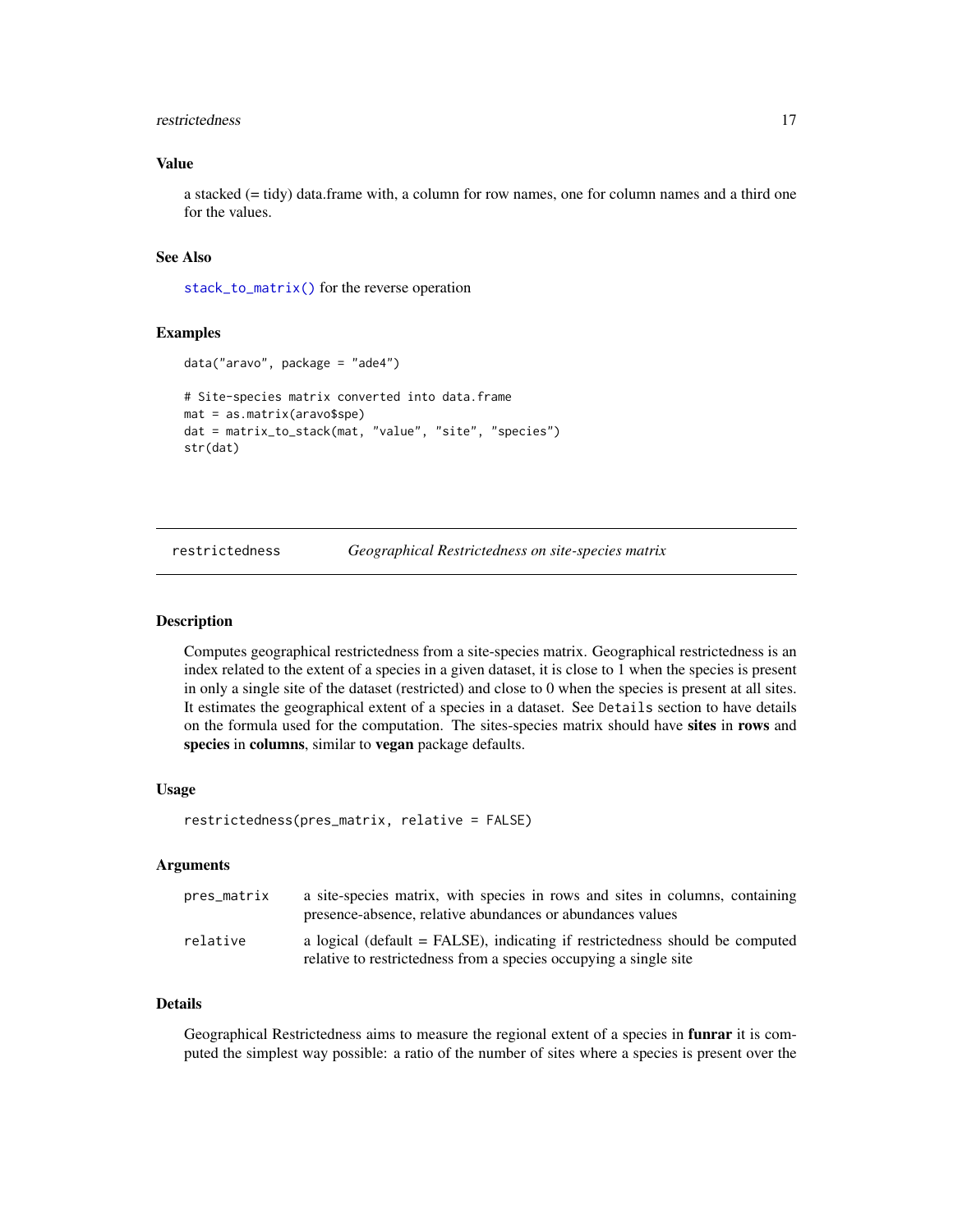#### <span id="page-16-0"></span>restrictedness and the set of the set of the set of the set of the set of the set of the set of the set of the set of the set of the set of the set of the set of the set of the set of the set of the set of the set of the s

### Value

a stacked (= tidy) data.frame with, a column for row names, one for column names and a third one for the values.

### See Also

[stack\\_to\\_matrix\(\)](#page-21-1) for the reverse operation

### Examples

```
data("aravo", package = "ade4")
# Site-species matrix converted into data.frame
mat = as.matrix(aravo$spe)
dat = matrix_to_stack(mat, "value", "site", "species")
str(dat)
```
<span id="page-16-1"></span>restrictedness *Geographical Restrictedness on site-species matrix*

#### Description

Computes geographical restrictedness from a site-species matrix. Geographical restrictedness is an index related to the extent of a species in a given dataset, it is close to 1 when the species is present in only a single site of the dataset (restricted) and close to 0 when the species is present at all sites. It estimates the geographical extent of a species in a dataset. See Details section to have details on the formula used for the computation. The sites-species matrix should have sites in rows and species in columns, similar to vegan package defaults.

#### Usage

```
restrictedness(pres_matrix, relative = FALSE)
```
#### Arguments

| pres_matrix | a site-species matrix, with species in rows and sites in columns, containing<br>presence-absence, relative abundances or abundances values          |
|-------------|-----------------------------------------------------------------------------------------------------------------------------------------------------|
| relative    | a logical (default $=$ FALSE), indicating if restrictedness should be computed<br>relative to restrictedness from a species occupying a single site |

### Details

Geographical Restrictedness aims to measure the regional extent of a species in **funrar** it is computed the simplest way possible: a ratio of the number of sites where a species is present over the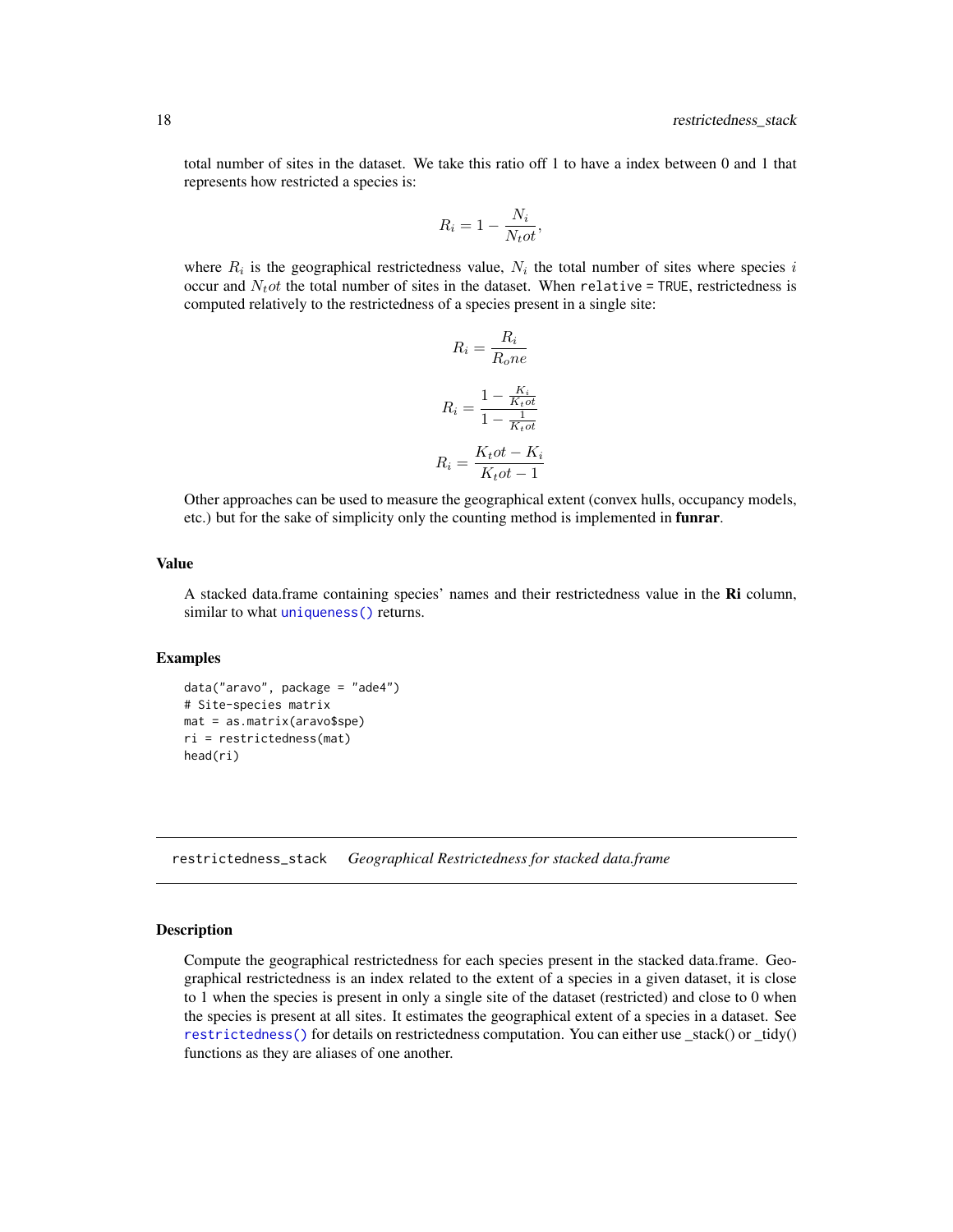<span id="page-17-0"></span>total number of sites in the dataset. We take this ratio off 1 to have a index between 0 and 1 that represents how restricted a species is:

$$
R_i = 1 - \frac{N_i}{N_t \sigma t},
$$

where  $R_i$  is the geographical restrictedness value,  $N_i$  the total number of sites where species i occur and  $N_t$  ot the total number of sites in the dataset. When relative = TRUE, restrictedness is computed relatively to the restrictedness of a species present in a single site:

$$
R_i = \frac{R_i}{R_o ne}
$$

$$
R_i = \frac{1 - \frac{K_i}{K_t o t}}{1 - \frac{1}{K_t o t}}
$$

$$
R_i = \frac{K_t o t - K_i}{K_t o t - 1}
$$

Other approaches can be used to measure the geographical extent (convex hulls, occupancy models, etc.) but for the sake of simplicity only the counting method is implemented in funrar.

### Value

A stacked data.frame containing species' names and their restrictedness value in the Ri column, similar to what [uniqueness\(\)](#page-22-1) returns.

### Examples

```
data("aravo", package = "ade4")
# Site-species matrix
mat = as.matrix(aravo$spe)
ri = restrictedness(mat)
head(ri)
```
<span id="page-17-1"></span>restrictedness\_stack *Geographical Restrictedness for stacked data.frame*

### Description

Compute the geographical restrictedness for each species present in the stacked data.frame. Geographical restrictedness is an index related to the extent of a species in a given dataset, it is close to 1 when the species is present in only a single site of the dataset (restricted) and close to 0 when the species is present at all sites. It estimates the geographical extent of a species in a dataset. See [restrictedness\(\)](#page-16-1) for details on restrictedness computation. You can either use \_stack() or \_tidy() functions as they are aliases of one another.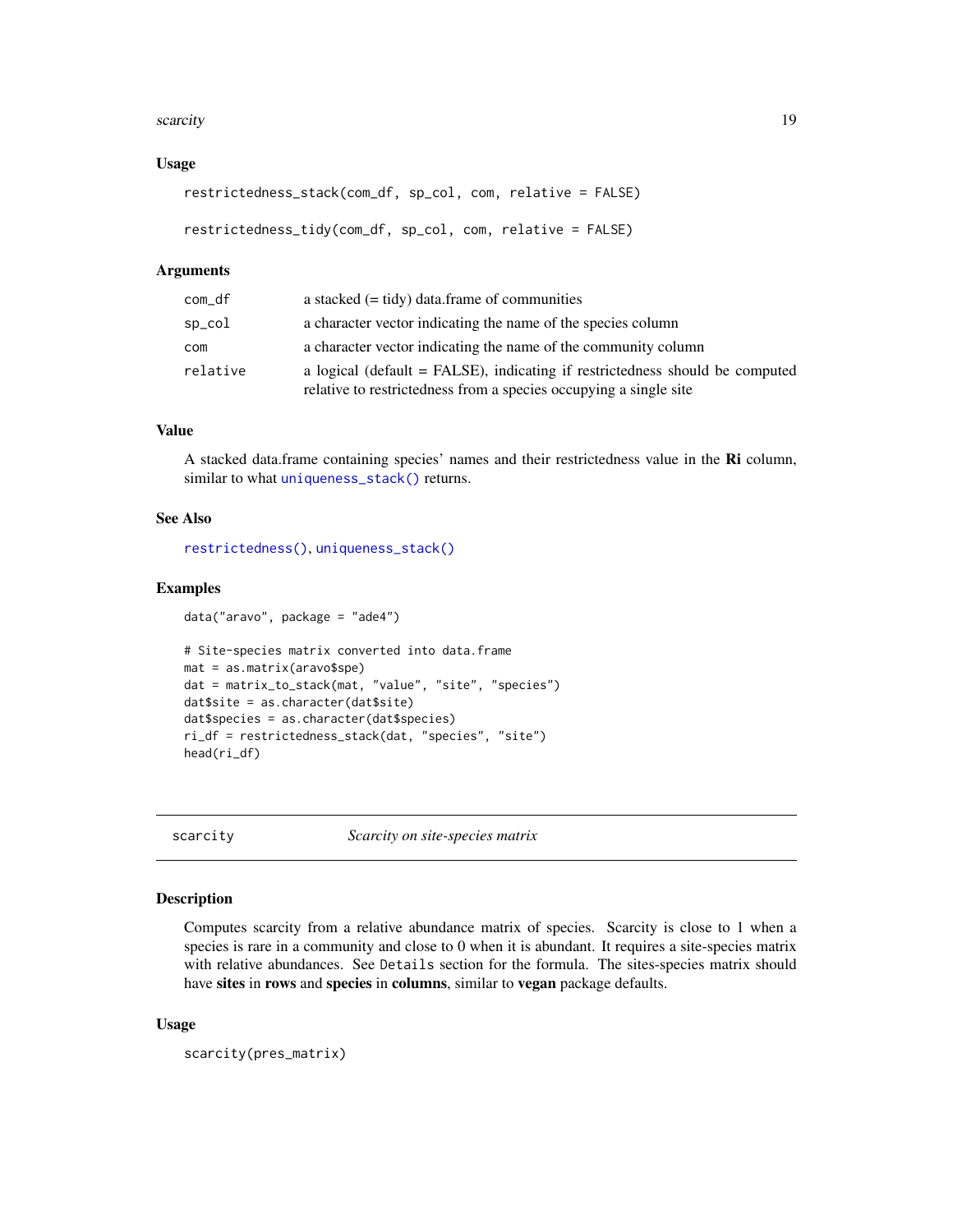#### <span id="page-18-0"></span>scarcity and the set of the set of the set of the set of the set of the set of the set of the set of the set of the set of the set of the set of the set of the set of the set of the set of the set of the set of the set of

### Usage

```
restrictedness_stack(com_df, sp_col, com, relative = FALSE)
```

```
restrictedness_tidy(com_df, sp_col, com, relative = FALSE)
```
### Arguments

| com_df   | a stacked $(=$ tidy) data.frame of communities                                                                                                    |
|----------|---------------------------------------------------------------------------------------------------------------------------------------------------|
| sp_col   | a character vector indicating the name of the species column                                                                                      |
| com      | a character vector indicating the name of the community column                                                                                    |
| relative | a logical (default = FALSE), indicating if restrictedness should be computed<br>relative to restrictedness from a species occupying a single site |

### Value

A stacked data.frame containing species' names and their restrictedness value in the Ri column, similar to what [uniqueness\\_stack\(\)](#page-24-1) returns.

### See Also

[restrictedness\(\)](#page-16-1), [uniqueness\\_stack\(\)](#page-24-1)

### Examples

```
data("aravo", package = "ade4")
# Site-species matrix converted into data.frame
mat = as.matrix(aravo$spe)
dat = matrix_to_stack(mat, "value", "site", "species")
dat$site = as.character(dat$site)
dat$species = as.character(dat$species)
ri_df = restrictedness_stack(dat, "species", "site")
head(ri_df)
```
<span id="page-18-1"></span>scarcity *Scarcity on site-species matrix*

### Description

Computes scarcity from a relative abundance matrix of species. Scarcity is close to 1 when a species is rare in a community and close to 0 when it is abundant. It requires a site-species matrix with relative abundances. See Details section for the formula. The sites-species matrix should have sites in rows and species in columns, similar to vegan package defaults.

### Usage

```
scarcity(pres_matrix)
```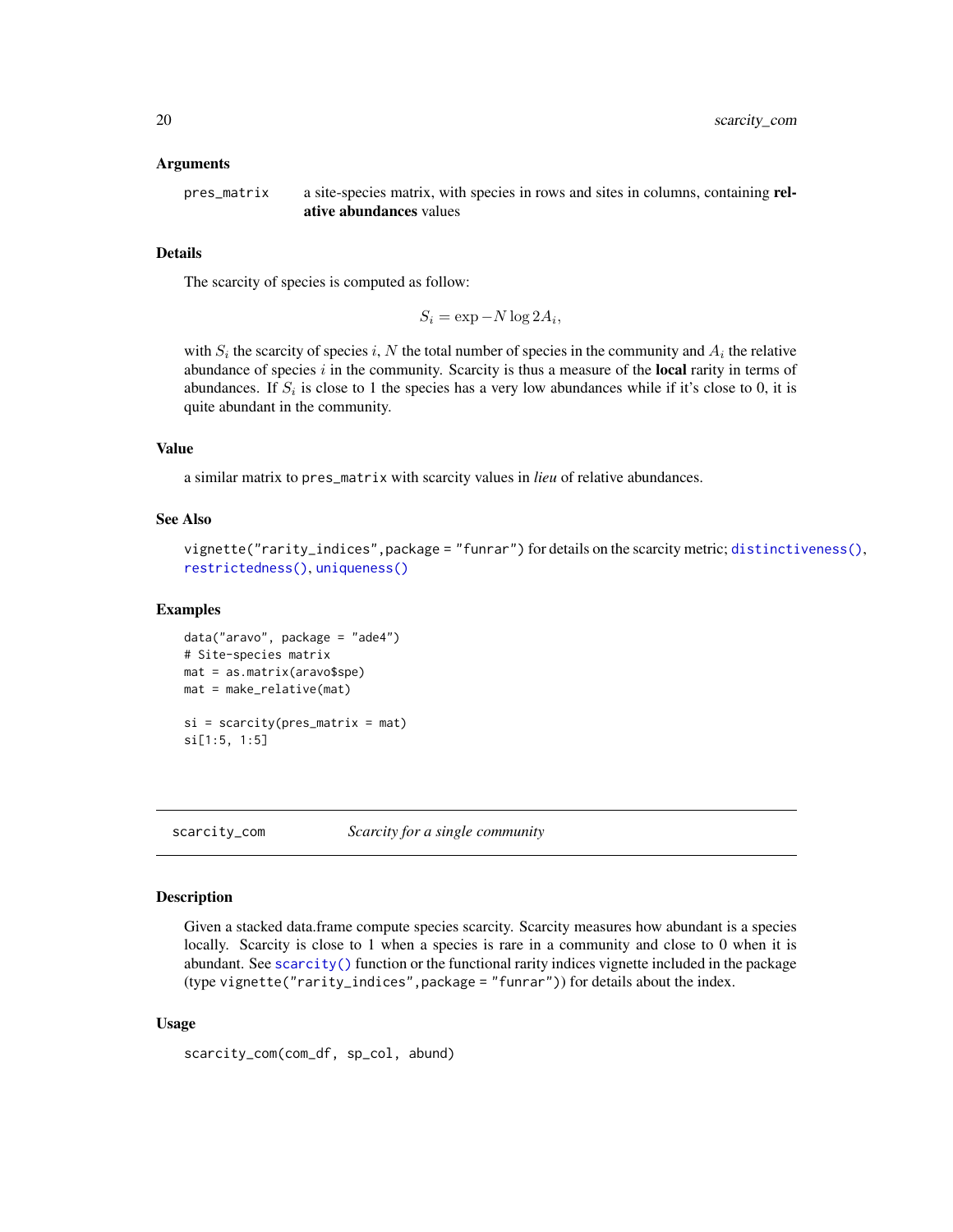#### <span id="page-19-0"></span>Arguments

pres\_matrix a site-species matrix, with species in rows and sites in columns, containing relative abundances values

### Details

The scarcity of species is computed as follow:

 $S_i = \exp -N \log 2A_i,$ 

with  $S_i$  the scarcity of species i, N the total number of species in the community and  $A_i$  the relative abundance of species  $i$  in the community. Scarcity is thus a measure of the **local** rarity in terms of abundances. If  $S_i$  is close to 1 the species has a very low abundances while if it's close to 0, it is quite abundant in the community.

#### Value

a similar matrix to pres\_matrix with scarcity values in *lieu* of relative abundances.

### See Also

```
distinctiveness(),
restrictedness(), uniqueness()
```
#### Examples

```
data("aravo", package = "ade4")
# Site-species matrix
mat = as.matrix(aravo$spe)
mat = make_relative(mat)
si = scarcity(pres_matrix = mat)
si[1:5, 1:5]
```
<span id="page-19-1"></span>scarcity\_com *Scarcity for a single community*

### **Description**

Given a stacked data.frame compute species scarcity. Scarcity measures how abundant is a species locally. Scarcity is close to 1 when a species is rare in a community and close to 0 when it is abundant. See [scarcity\(\)](#page-18-1) function or the functional rarity indices vignette included in the package (type vignette("rarity\_indices",package = "funrar")) for details about the index.

### Usage

scarcity\_com(com\_df, sp\_col, abund)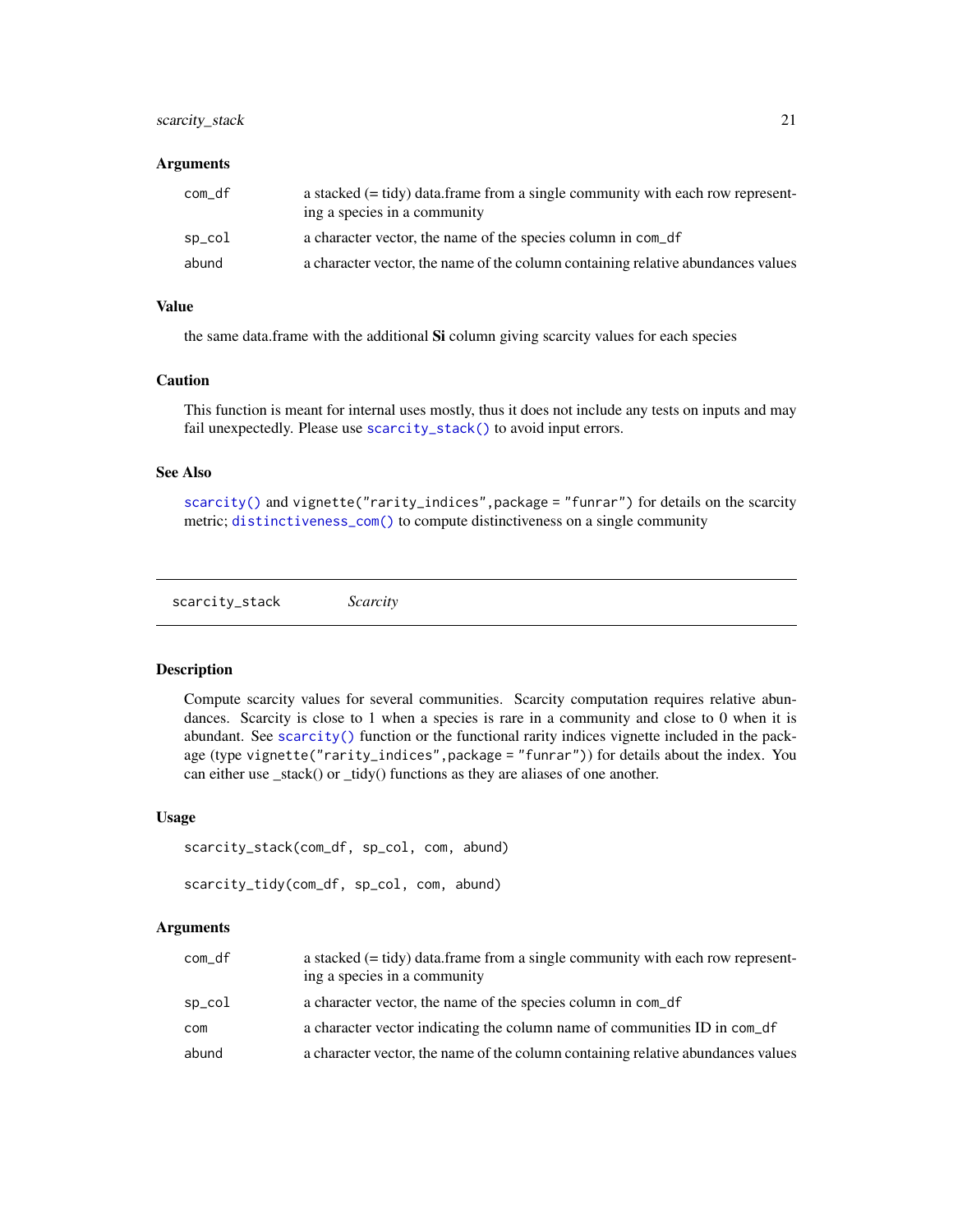### <span id="page-20-0"></span>scarcity\_stack 21

#### **Arguments**

| com_df | a stacked $(= \text{tidy})$ data. frame from a single community with each row represent-<br>ing a species in a community |
|--------|--------------------------------------------------------------------------------------------------------------------------|
| sp_col | a character vector, the name of the species column in com_df                                                             |
| abund  | a character vector, the name of the column containing relative abundances values                                         |

### Value

the same data.frame with the additional Si column giving scarcity values for each species

### Caution

This function is meant for internal uses mostly, thus it does not include any tests on inputs and may fail unexpectedly. Please use [scarcity\\_stack\(\)](#page-20-1) to avoid input errors.

### See Also

[scarcity\(\)](#page-18-1) and vignette("rarity\_indices", package = "funrar") for details on the scarcity metric; [distinctiveness\\_com\(\)](#page-6-1) to compute distinctiveness on a single community

<span id="page-20-1"></span>scarcity\_stack *Scarcity*

### Description

Compute scarcity values for several communities. Scarcity computation requires relative abundances. Scarcity is close to 1 when a species is rare in a community and close to 0 when it is abundant. See [scarcity\(\)](#page-18-1) function or the functional rarity indices vignette included in the package (type vignette("rarity\_indices",package = "funrar")) for details about the index. You can either use \_stack() or \_tidy() functions as they are aliases of one another.

#### Usage

```
scarcity_stack(com_df, sp_col, com, abund)
scarcity_tidy(com_df, sp_col, com, abund)
```

| com_df | a stacked $(= \text{tidy})$ data. frame from a single community with each row represent-<br>ing a species in a community |
|--------|--------------------------------------------------------------------------------------------------------------------------|
| sp_col | a character vector, the name of the species column in com_df                                                             |
| com    | a character vector indicating the column name of communities ID in com_df                                                |
| abund  | a character vector, the name of the column containing relative abundances values                                         |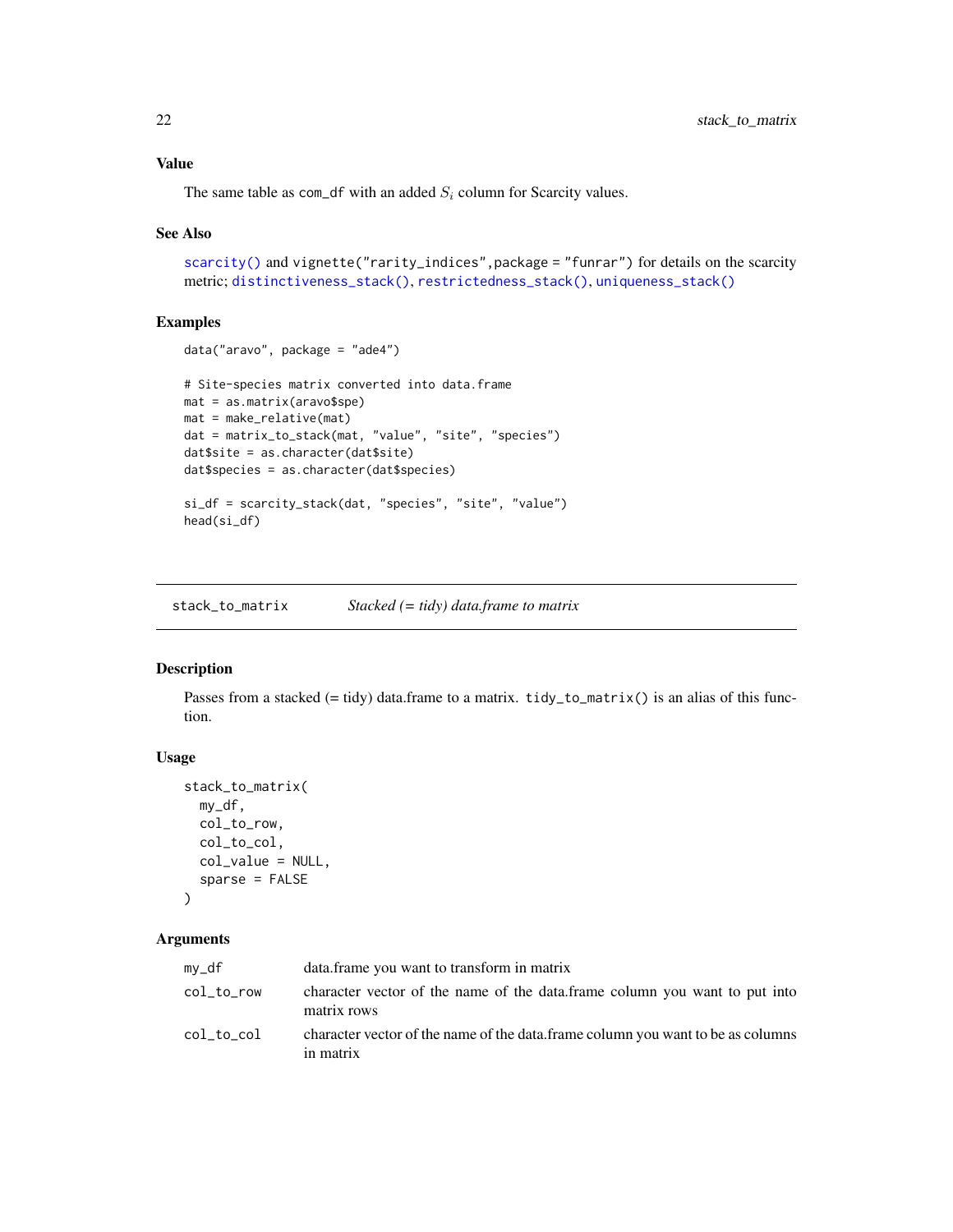#### <span id="page-21-0"></span>Value

The same table as com\_df with an added  $S_i$  column for Scarcity values.

#### See Also

```
scarcity() and vignette("rarity_indices", package = "funrar") for details on the scarcity
metric; distinctiveness_stack(), restrictedness_stack(), uniqueness_stack()
```
### Examples

```
data("aravo", package = "ade4")
# Site-species matrix converted into data.frame
mat = as.matrix(aravo$spe)
mat = make_relative(mat)
dat = matrix_to_stack(mat, "value", "site", "species")
dat$site = as.character(dat$site)
dat$species = as.character(dat$species)
si_df = scarcity_stack(dat, "species", "site", "value")
head(si_df)
```
<span id="page-21-1"></span>stack\_to\_matrix *Stacked (= tidy) data.frame to matrix*

### Description

Passes from a stacked (= tidy) data.frame to a matrix. tidy\_to\_matrix() is an alias of this function.

#### Usage

```
stack_to_matrix(
 my_df,
 col_to_row,
 col_to_col,
 col_value = NULL,
  sparse = FALSE
)
```

| my_df      | data frame you want to transform in matrix                                                    |
|------------|-----------------------------------------------------------------------------------------------|
| col_to_row | character vector of the name of the data, frame column you want to put into<br>matrix rows    |
| col to col | character vector of the name of the data. frame column you want to be as columns<br>in matrix |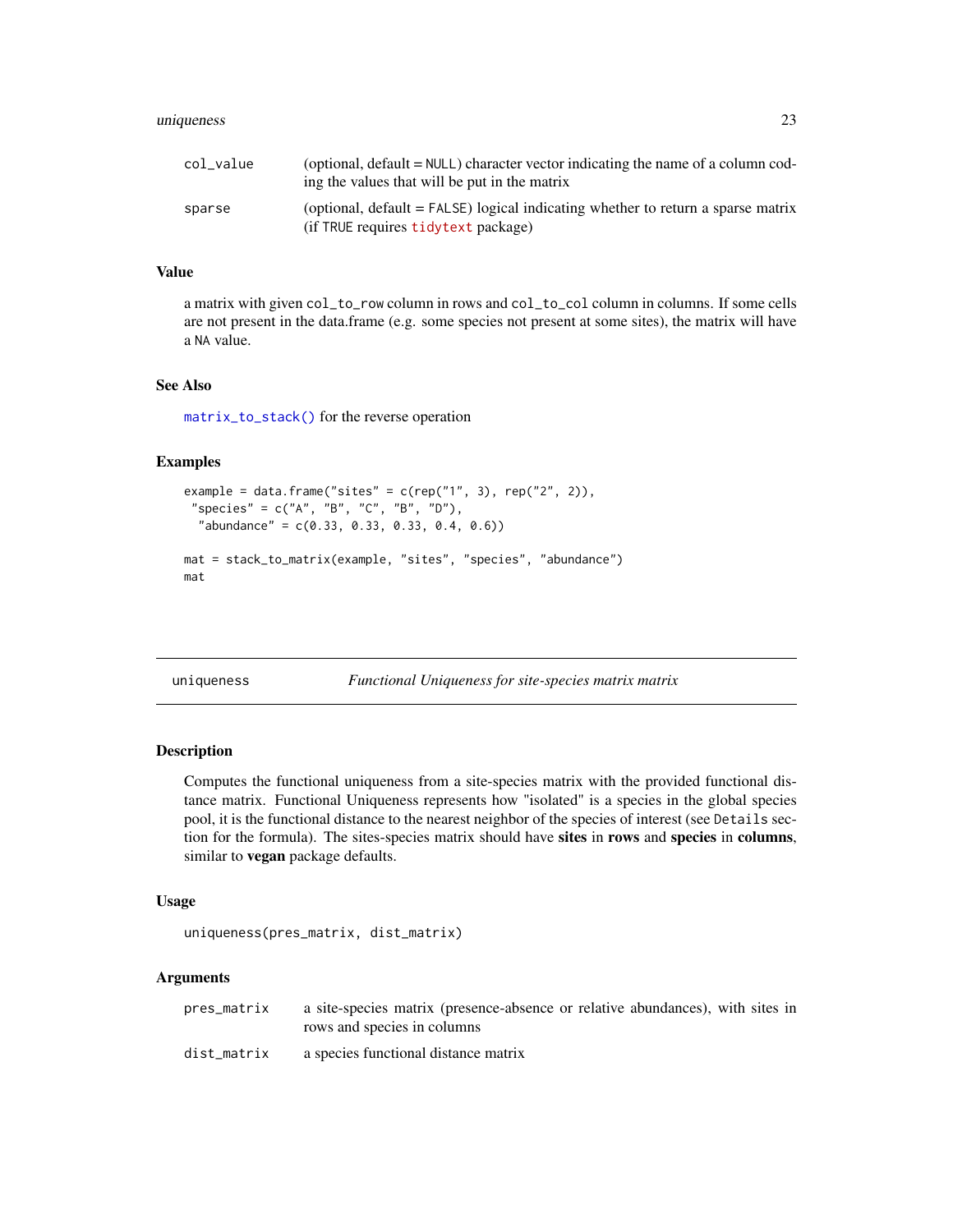### <span id="page-22-0"></span>uniqueness 23

| col_value | (optional, $default = NULL$ ) character vector indicating the name of a column cod-<br>ing the values that will be put in the matrix |
|-----------|--------------------------------------------------------------------------------------------------------------------------------------|
| sparse    | (optional, default = FALSE) logical indicating whether to return a sparse matrix<br>(if TRUE requires tidytext package)              |

### Value

a matrix with given col\_to\_row column in rows and col\_to\_col column in columns. If some cells are not present in the data.frame (e.g. some species not present at some sites), the matrix will have a NA value.

### See Also

[matrix\\_to\\_stack\(\)](#page-15-1) for the reverse operation

### Examples

```
example = data.frame("sites" = c(rep("1", 3), rep("2", 2)),"species" = c("A", "B", "C", "B", "D"),
  "abundance" = c(0.33, 0.33, 0.33, 0.4, 0.6))
mat = stack_to_matrix(example, "sites", "species", "abundance")
mat
```
<span id="page-22-1"></span>uniqueness *Functional Uniqueness for site-species matrix matrix*

#### Description

Computes the functional uniqueness from a site-species matrix with the provided functional distance matrix. Functional Uniqueness represents how "isolated" is a species in the global species pool, it is the functional distance to the nearest neighbor of the species of interest (see Details section for the formula). The sites-species matrix should have sites in rows and species in columns, similar to vegan package defaults.

### Usage

```
uniqueness(pres_matrix, dist_matrix)
```

| pres_matrix | a site-species matrix (presence-absence or relative abundances), with sites in |
|-------------|--------------------------------------------------------------------------------|
|             | rows and species in columns                                                    |
| dist matrix | a species functional distance matrix                                           |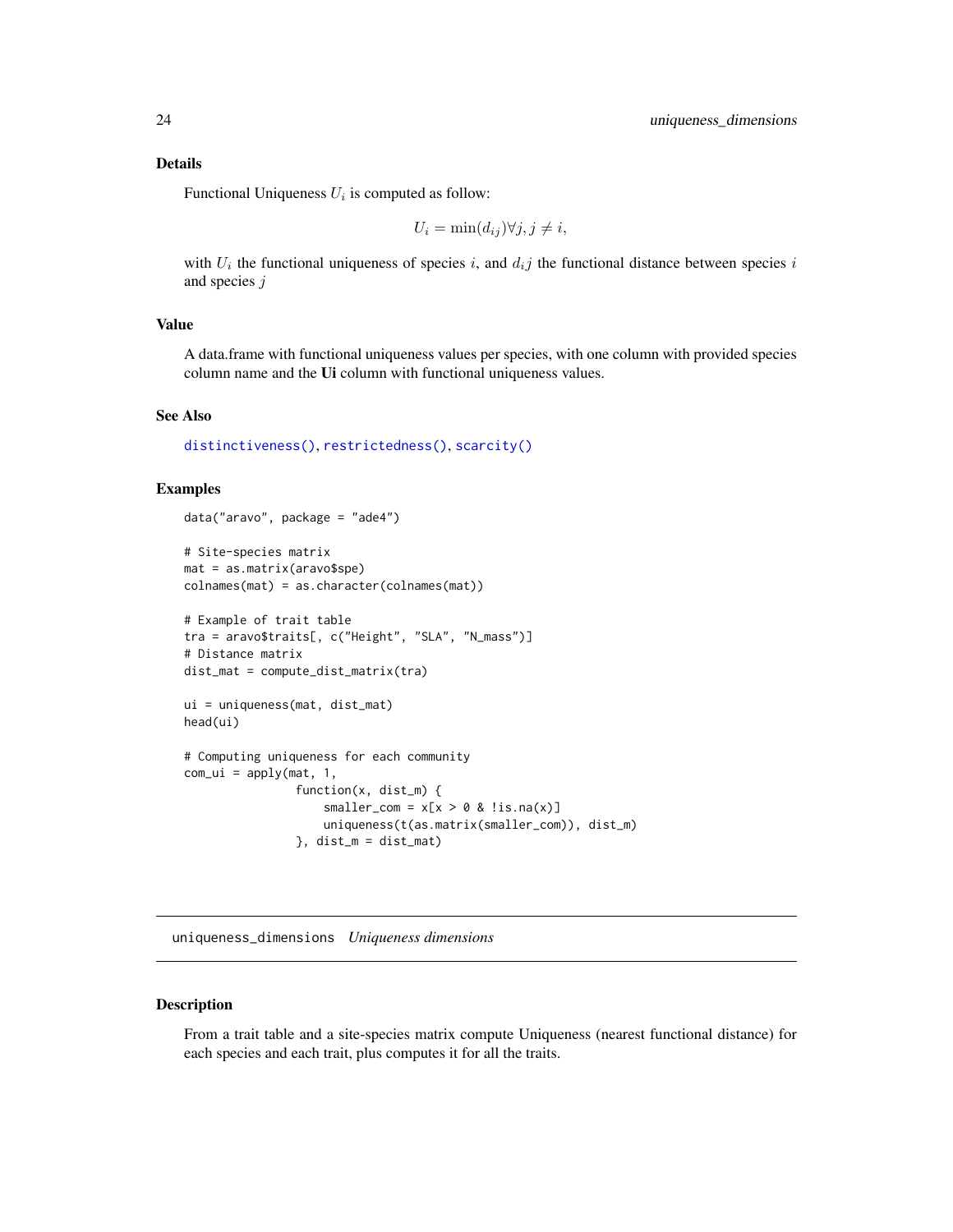### <span id="page-23-0"></span>Details

Functional Uniqueness  $U_i$  is computed as follow:

$$
U_i = \min(d_{ij}) \forall j, j \neq i,
$$

with  $U_i$  the functional uniqueness of species i, and  $d_i j$  the functional distance between species i and species j

#### Value

A data.frame with functional uniqueness values per species, with one column with provided species column name and the Ui column with functional uniqueness values.

#### See Also

[distinctiveness\(\)](#page-3-1), [restrictedness\(\)](#page-16-1), [scarcity\(\)](#page-18-1)

### Examples

```
data("aravo", package = "ade4")
# Site-species matrix
mat = as.matrix(aravo$spe)
colnames(mat) = as.character(colnames(mat))
# Example of trait table
tra = aravo$traits[, c("Height", "SLA", "N_mass")]
# Distance matrix
dist_mat = compute_dist_matrix(tra)
ui = uniqueness(mat, dist_mat)
head(ui)
# Computing uniqueness for each community
com\_ui = apply(mat, 1,function(x, dist_m) {
                    smaller_com = x[x > 0 & 0 & 0 & 0 \in (x)]uniqueness(t(as.matrix(smaller_com)), dist_m)
                }, dist_m = dist_mat)
```
<span id="page-23-1"></span>uniqueness\_dimensions *Uniqueness dimensions*

### Description

From a trait table and a site-species matrix compute Uniqueness (nearest functional distance) for each species and each trait, plus computes it for all the traits.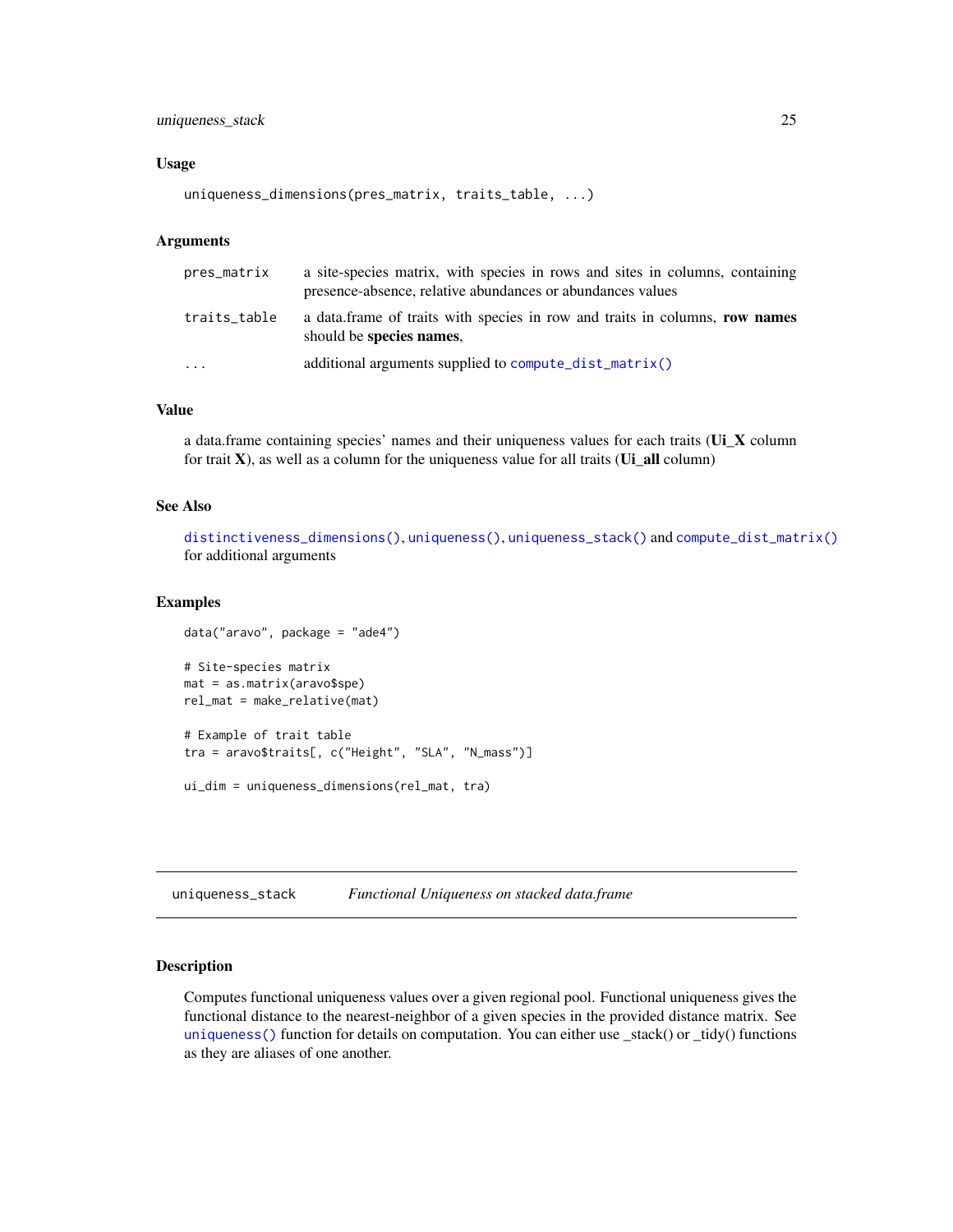### <span id="page-24-0"></span>uniqueness\_stack 25

#### Usage

```
uniqueness_dimensions(pres_matrix, traits_table, ...)
```
#### Arguments

| pres_matrix  | a site-species matrix, with species in rows and sites in columns, containing<br>presence-absence, relative abundances or abundances values |
|--------------|--------------------------------------------------------------------------------------------------------------------------------------------|
| traits_table | a data.frame of traits with species in row and traits in columns, row names<br>should be species names,                                    |
| $\cdots$     | additional arguments supplied to compute_dist_matrix()                                                                                     |

### Value

a data.frame containing species' names and their uniqueness values for each traits (Ui\_X column for trait  $X$ ), as well as a column for the uniqueness value for all traits ( $Ui$ <sup>n</sup> all column)

### See Also

[distinctiveness\\_dimensions\(\)](#page-7-1), [uniqueness\(\)](#page-22-1), [uniqueness\\_stack\(\)](#page-24-1) and [compute\\_dist\\_matrix\(\)](#page-2-1) for additional arguments

#### Examples

```
data("aravo", package = "ade4")
# Site-species matrix
mat = as.matrix(aravo$spe)
rel_mat = make_relative(mat)
# Example of trait table
tra = aravo$traits[, c("Height", "SLA", "N_mass")]
```

```
ui_dim = uniqueness_dimensions(rel_mat, tra)
```
<span id="page-24-1"></span>uniqueness\_stack *Functional Uniqueness on stacked data.frame*

### Description

Computes functional uniqueness values over a given regional pool. Functional uniqueness gives the functional distance to the nearest-neighbor of a given species in the provided distance matrix. See [uniqueness\(\)](#page-22-1) function for details on computation. You can either use \_stack() or \_tidy() functions as they are aliases of one another.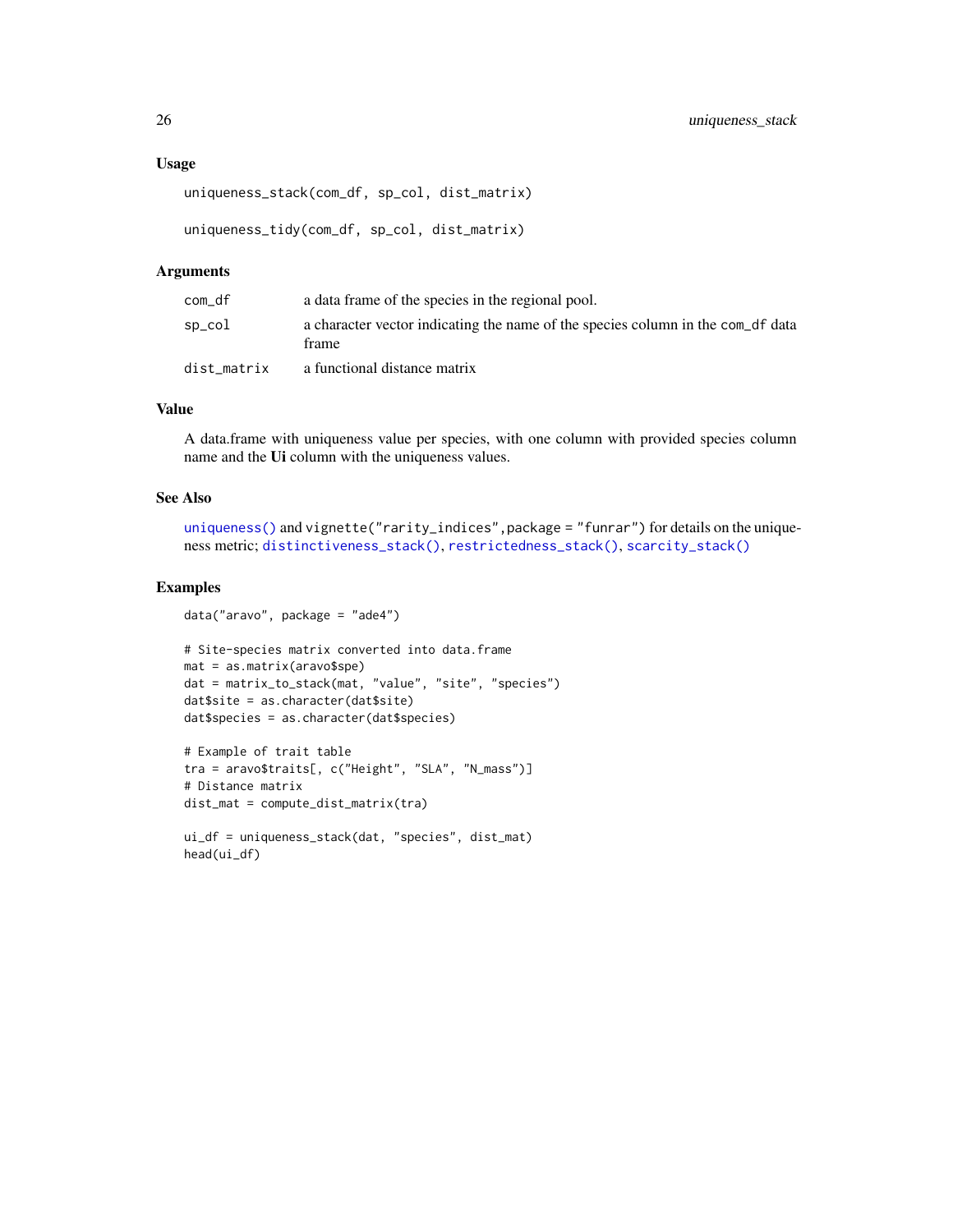```
uniqueness_stack(com_df, sp_col, dist_matrix)
```

```
uniqueness_tidy(com_df, sp_col, dist_matrix)
```
#### Arguments

| com_df      | a data frame of the species in the regional pool.                                        |
|-------------|------------------------------------------------------------------------------------------|
| sp_col      | a character vector indicating the name of the species column in the com_df data<br>frame |
| dist matrix | a functional distance matrix                                                             |

### Value

A data.frame with uniqueness value per species, with one column with provided species column name and the Ui column with the uniqueness values.

### See Also

```
uniqueness() and vignette("rarity_indices",package = "funrar") for details on the unique-
ness metric; distinctiveness_stack(), restrictedness_stack(), scarcity_stack()
```
### Examples

```
data("aravo", package = "ade4")
```

```
# Site-species matrix converted into data.frame
mat = as.matrix(aravo$spe)
dat = matrix_to_stack(mat, "value", "site", "species")
dat$site = as.character(dat$site)
dat$species = as.character(dat$species)
```

```
# Example of trait table
tra = aravo$traits[, c("Height", "SLA", "N_mass")]
# Distance matrix
dist_mat = compute_dist_matrix(tra)
```

```
ui_df = uniqueness_stack(dat, "species", dist_mat)
head(ui_df)
```